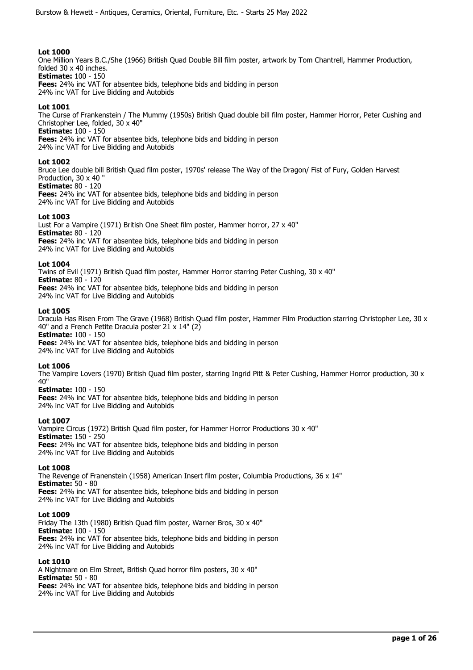One Million Years B.C./She (1966) British Quad Double Bill film poster, artwork by Tom Chantrell, Hammer Production, folded 30 x 40 inches. **Estimate:** 100 - 150

**Fees:** 24% inc VAT for absentee bids, telephone bids and bidding in person 24% inc VAT for Live Bidding and Autobids

# **Lot 1001**

The Curse of Frankenstein / The Mummy (1950s) British Quad double bill film poster, Hammer Horror, Peter Cushing and Christopher Lee, folded, 30 x 40"

**Estimate:** 100 - 150

**Fees:** 24% inc VAT for absentee bids, telephone bids and bidding in person

24% inc VAT for Live Bidding and Autobids

# **Lot 1002**

Bruce Lee double bill British Quad film poster, 1970s' release The Way of the Dragon/ Fist of Fury, Golden Harvest Production, 30 x 40 "

# **Estimate:** 80 - 120

**Fees:** 24% inc VAT for absentee bids, telephone bids and bidding in person 24% inc VAT for Live Bidding and Autobids

# **Lot 1003**

Lust For a Vampire (1971) British One Sheet film poster, Hammer horror, 27 x 40" **Estimate:** 80 - 120 **Fees:** 24% inc VAT for absentee bids, telephone bids and bidding in person 24% inc VAT for Live Bidding and Autobids

## **Lot 1004**

Twins of Evil (1971) British Quad film poster, Hammer Horror starring Peter Cushing, 30 x 40" **Estimate:** 80 - 120 **Fees:** 24% inc VAT for absentee bids, telephone bids and bidding in person 24% inc VAT for Live Bidding and Autobids

## **Lot 1005**

Dracula Has Risen From The Grave (1968) British Quad film poster, Hammer Film Production starring Christopher Lee, 30 x 40" and a French Petite Dracula poster  $21 \times 14$ " (2)

**Estimate:** 100 - 150

**Fees:** 24% inc VAT for absentee bids, telephone bids and bidding in person 24% inc VAT for Live Bidding and Autobids

## **Lot 1006**

The Vampire Lovers (1970) British Quad film poster, starring Ingrid Pitt & Peter Cushing, Hammer Horror production, 30 x 40"

## **Estimate:** 100 - 150

**Fees:** 24% inc VAT for absentee bids, telephone bids and bidding in person 24% inc VAT for Live Bidding and Autobids

## **Lot 1007**

Vampire Circus (1972) British Quad film poster, for Hammer Horror Productions 30 x 40" **Estimate:** 150 - 250 **Fees:** 24% inc VAT for absentee bids, telephone bids and bidding in person 24% inc VAT for Live Bidding and Autobids

## **Lot 1008**

The Revenge of Franenstein (1958) American Insert film poster, Columbia Productions, 36 x 14" **Estimate:** 50 - 80 **Fees:** 24% inc VAT for absentee bids, telephone bids and bidding in person 24% inc VAT for Live Bidding and Autobids

## **Lot 1009**

Friday The 13th (1980) British Quad film poster, Warner Bros, 30 x 40" **Estimate:** 100 - 150 **Fees:** 24% inc VAT for absentee bids, telephone bids and bidding in person 24% inc VAT for Live Bidding and Autobids

## **Lot 1010**

A Nightmare on Elm Street, British Quad horror film posters, 30 x 40" **Estimate:** 50 - 80 **Fees:** 24% inc VAT for absentee bids, telephone bids and bidding in person 24% inc VAT for Live Bidding and Autobids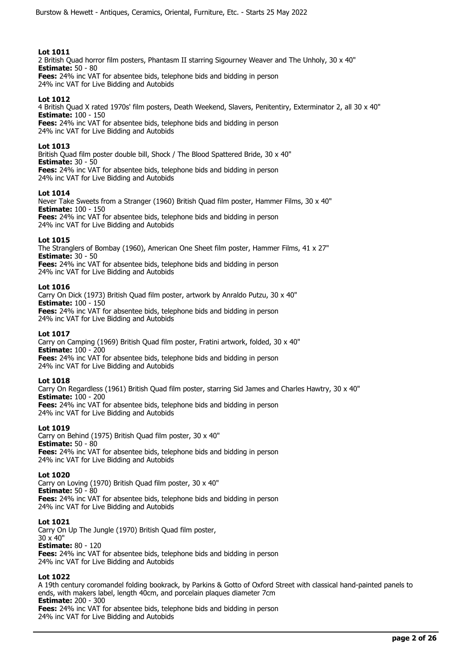2 British Quad horror film posters, Phantasm II starring Sigourney Weaver and The Unholy, 30 x 40" **Estimate:** 50 - 80 **Fees:** 24% inc VAT for absentee bids, telephone bids and bidding in person

24% inc VAT for Live Bidding and Autobids

# **Lot 1012**

4 British Quad X rated 1970s' film posters, Death Weekend, Slavers, Penitentiry, Exterminator 2, all 30 x 40" **Estimate:** 100 - 150 **Fees:** 24% inc VAT for absentee bids, telephone bids and bidding in person

24% inc VAT for Live Bidding and Autobids

## **Lot 1013**

British Quad film poster double bill, Shock / The Blood Spattered Bride, 30 x 40" **Estimate:** 30 - 50 **Fees:** 24% inc VAT for absentee bids, telephone bids and bidding in person

24% inc VAT for Live Bidding and Autobids

## **Lot 1014**

Never Take Sweets from a Stranger (1960) British Quad film poster, Hammer Films, 30 x 40" **Estimate:** 100 - 150 **Fees:** 24% inc VAT for absentee bids, telephone bids and bidding in person 24% inc VAT for Live Bidding and Autobids

## **Lot 1015**

The Stranglers of Bombay (1960), American One Sheet film poster, Hammer Films, 41 x 27" **Estimate:** 30 - 50 **Fees:** 24% inc VAT for absentee bids, telephone bids and bidding in person

24% inc VAT for Live Bidding and Autobids

## **Lot 1016**

Carry On Dick (1973) British Quad film poster, artwork by Anraldo Putzu, 30 x 40" **Estimate:** 100 - 150 **Fees:** 24% inc VAT for absentee bids, telephone bids and bidding in person 24% inc VAT for Live Bidding and Autobids

## **Lot 1017**

Carry on Camping (1969) British Quad film poster, Fratini artwork, folded, 30 x 40" **Estimate:** 100 - 200 **Fees:** 24% inc VAT for absentee bids, telephone bids and bidding in person 24% inc VAT for Live Bidding and Autobids

## **Lot 1018**

Carry On Regardless (1961) British Quad film poster, starring Sid James and Charles Hawtry, 30 x 40" **Estimate:** 100 - 200 **Fees:** 24% inc VAT for absentee bids, telephone bids and bidding in person 24% inc VAT for Live Bidding and Autobids

## **Lot 1019**

Carry on Behind (1975) British Quad film poster, 30 x 40" **Estimate:** 50 - 80 **Fees:** 24% inc VAT for absentee bids, telephone bids and bidding in person 24% inc VAT for Live Bidding and Autobids

## **Lot 1020**

Carry on Loving (1970) British Quad film poster, 30 x 40" **Estimate:** 50 - 80 **Fees:** 24% inc VAT for absentee bids, telephone bids and bidding in person 24% inc VAT for Live Bidding and Autobids

## **Lot 1021**

Carry On Up The Jungle (1970) British Quad film poster, 30 x 40" **Estimate:** 80 - 120 **Fees:** 24% inc VAT for absentee bids, telephone bids and bidding in person 24% inc VAT for Live Bidding and Autobids

## **Lot 1022**

A 19th century coromandel folding bookrack, by Parkins & Gotto of Oxford Street with classical hand-painted panels to ends, with makers label, length 40cm, and porcelain plaques diameter 7cm **Estimate:** 200 - 300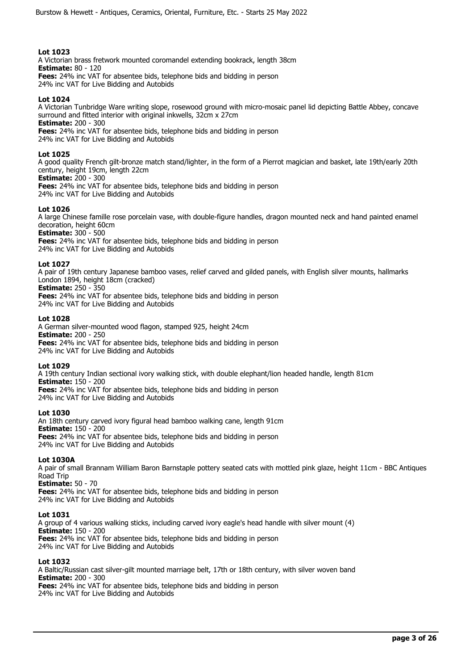A Victorian brass fretwork mounted coromandel extending bookrack, length 38cm **Estimate:** 80 - 120 **Fees:** 24% inc VAT for absentee bids, telephone bids and bidding in person 24% inc VAT for Live Bidding and Autobids

## **Lot 1024**

A Victorian Tunbridge Ware writing slope, rosewood ground with micro-mosaic panel lid depicting Battle Abbey, concave surround and fitted interior with original inkwells, 32cm x 27cm **Estimate:** 200 - 300

**Fees:** 24% inc VAT for absentee bids, telephone bids and bidding in person 24% inc VAT for Live Bidding and Autobids

## **Lot 1025**

A good quality French gilt-bronze match stand/lighter, in the form of a Pierrot magician and basket, late 19th/early 20th century, height 19cm, length 22cm

**Estimate:** 200 - 300

**Fees:** 24% inc VAT for absentee bids, telephone bids and bidding in person 24% inc VAT for Live Bidding and Autobids

## **Lot 1026**

A large Chinese famille rose porcelain vase, with double-figure handles, dragon mounted neck and hand painted enamel decoration, height 60cm **Estimate:** 300 - 500

**Fees:** 24% inc VAT for absentee bids, telephone bids and bidding in person 24% inc VAT for Live Bidding and Autobids

## **Lot 1027**

A pair of 19th century Japanese bamboo vases, relief carved and gilded panels, with English silver mounts, hallmarks London 1894, height 18cm (cracked) **Estimate:** 250 - 350

**Fees:** 24% inc VAT for absentee bids, telephone bids and bidding in person 24% inc VAT for Live Bidding and Autobids

## **Lot 1028**

A German silver-mounted wood flagon, stamped 925, height 24cm **Estimate:** 200 - 250 **Fees:** 24% inc VAT for absentee bids, telephone bids and bidding in person 24% inc VAT for Live Bidding and Autobids

## **Lot 1029**

A 19th century Indian sectional ivory walking stick, with double elephant/lion headed handle, length 81cm **Estimate:** 150 - 200 **Fees:** 24% inc VAT for absentee bids, telephone bids and bidding in person 24% inc VAT for Live Bidding and Autobids

## **Lot 1030**

An 18th century carved ivory figural head bamboo walking cane, length 91cm **Estimate:** 150 - 200 **Fees:** 24% inc VAT for absentee bids, telephone bids and bidding in person 24% inc VAT for Live Bidding and Autobids

## **Lot 1030A**

A pair of small Brannam William Baron Barnstaple pottery seated cats with mottled pink glaze, height 11cm - BBC Antiques Road Trip **Estimate:** 50 - 70

**Fees:** 24% inc VAT for absentee bids, telephone bids and bidding in person 24% inc VAT for Live Bidding and Autobids

## **Lot 1031**

A group of 4 various walking sticks, including carved ivory eagle's head handle with silver mount (4) **Estimate:** 150 - 200 **Fees:** 24% inc VAT for absentee bids, telephone bids and bidding in person 24% inc VAT for Live Bidding and Autobids

## **Lot 1032**

A Baltic/Russian cast silver-gilt mounted marriage belt, 17th or 18th century, with silver woven band **Estimate:** 200 - 300 **Fees:** 24% inc VAT for absentee bids, telephone bids and bidding in person 24% inc VAT for Live Bidding and Autobids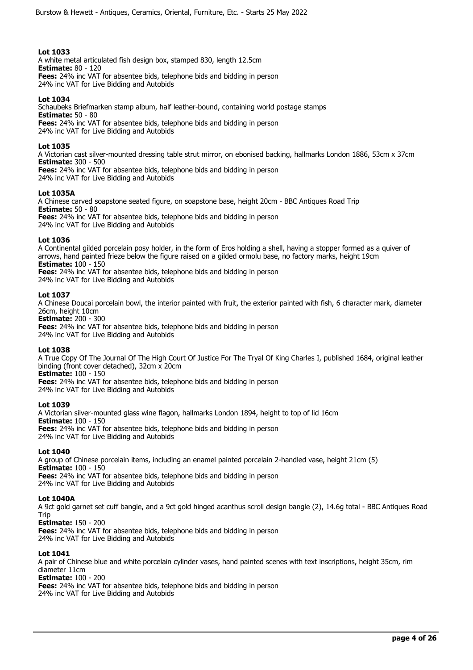A white metal articulated fish design box, stamped 830, length 12.5cm **Estimate:** 80 - 120 **Fees:** 24% inc VAT for absentee bids, telephone bids and bidding in person 24% inc VAT for Live Bidding and Autobids

## **Lot 1034**

Schaubeks Briefmarken stamp album, half leather-bound, containing world postage stamps **Estimate:** 50 - 80 **Fees:** 24% inc VAT for absentee bids, telephone bids and bidding in person 24% inc VAT for Live Bidding and Autobids

## **Lot 1035**

A Victorian cast silver-mounted dressing table strut mirror, on ebonised backing, hallmarks London 1886, 53cm x 37cm **Estimate:** 300 - 500

**Fees:** 24% inc VAT for absentee bids, telephone bids and bidding in person 24% inc VAT for Live Bidding and Autobids

## **Lot 1035A**

A Chinese carved soapstone seated figure, on soapstone base, height 20cm - BBC Antiques Road Trip **Estimate:** 50 - 80 **Fees:** 24% inc VAT for absentee bids, telephone bids and bidding in person 24% inc VAT for Live Bidding and Autobids

## **Lot 1036**

A Continental gilded porcelain posy holder, in the form of Eros holding a shell, having a stopper formed as a quiver of arrows, hand painted frieze below the figure raised on a gilded ormolu base, no factory marks, height 19cm **Estimate:** 100 - 150

**Fees:** 24% inc VAT for absentee bids, telephone bids and bidding in person 24% inc VAT for Live Bidding and Autobids

## **Lot 1037**

A Chinese Doucai porcelain bowl, the interior painted with fruit, the exterior painted with fish, 6 character mark, diameter 26cm, height 10cm

**Estimate:** 200 - 300

**Fees:** 24% inc VAT for absentee bids, telephone bids and bidding in person 24% inc VAT for Live Bidding and Autobids

## **Lot 1038**

A True Copy Of The Journal Of The High Court Of Justice For The Tryal Of King Charles I, published 1684, original leather binding (front cover detached), 32cm x 20cm **Estimate:** 100 - 150

**Fees:** 24% inc VAT for absentee bids, telephone bids and bidding in person 24% inc VAT for Live Bidding and Autobids

## **Lot 1039**

A Victorian silver-mounted glass wine flagon, hallmarks London 1894, height to top of lid 16cm **Estimate:** 100 - 150 **Fees:** 24% inc VAT for absentee bids, telephone bids and bidding in person 24% inc VAT for Live Bidding and Autobids

# **Lot 1040**

A group of Chinese porcelain items, including an enamel painted porcelain 2-handled vase, height 21cm (5) **Estimate:** 100 - 150 **Fees:** 24% inc VAT for absentee bids, telephone bids and bidding in person 24% inc VAT for Live Bidding and Autobids

## **Lot 1040A**

A 9ct gold garnet set cuff bangle, and a 9ct gold hinged acanthus scroll design bangle (2), 14.6g total - BBC Antiques Road Trip

**Estimate:** 150 - 200

**Fees:** 24% inc VAT for absentee bids, telephone bids and bidding in person 24% inc VAT for Live Bidding and Autobids

## **Lot 1041**

A pair of Chinese blue and white porcelain cylinder vases, hand painted scenes with text inscriptions, height 35cm, rim diameter 11cm

**Estimate:** 100 - 200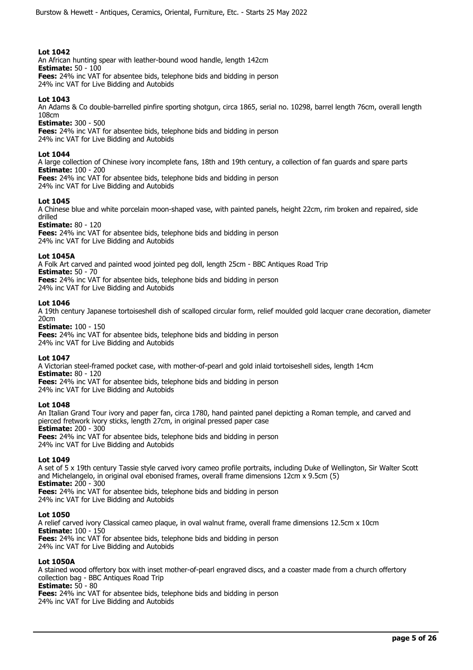An African hunting spear with leather-bound wood handle, length 142cm **Estimate:** 50 - 100 **Fees:** 24% inc VAT for absentee bids, telephone bids and bidding in person 24% inc VAT for Live Bidding and Autobids

## **Lot 1043**

An Adams & Co double-barrelled pinfire sporting shotgun, circa 1865, serial no. 10298, barrel length 76cm, overall length 108cm

**Estimate:** 300 - 500

**Fees:** 24% inc VAT for absentee bids, telephone bids and bidding in person 24% inc VAT for Live Bidding and Autobids

## **Lot 1044**

A large collection of Chinese ivory incomplete fans, 18th and 19th century, a collection of fan guards and spare parts **Estimate:** 100 - 200

**Fees:** 24% inc VAT for absentee bids, telephone bids and bidding in person 24% inc VAT for Live Bidding and Autobids

## **Lot 1045**

A Chinese blue and white porcelain moon-shaped vase, with painted panels, height 22cm, rim broken and repaired, side drilled

**Estimate:** 80 - 120

**Fees:** 24% inc VAT for absentee bids, telephone bids and bidding in person 24% inc VAT for Live Bidding and Autobids

## **Lot 1045A**

A Folk Art carved and painted wood jointed peg doll, length 25cm - BBC Antiques Road Trip **Estimate:** 50 - 70 **Fees:** 24% inc VAT for absentee bids, telephone bids and bidding in person

24% inc VAT for Live Bidding and Autobids

## **Lot 1046**

A 19th century Japanese tortoiseshell dish of scalloped circular form, relief moulded gold lacquer crane decoration, diameter 20cm

**Estimate:** 100 - 150 **Fees:** 24% inc VAT for absentee bids, telephone bids and bidding in person 24% inc VAT for Live Bidding and Autobids

## **Lot 1047**

A Victorian steel-framed pocket case, with mother-of-pearl and gold inlaid tortoiseshell sides, length 14cm **Estimate:** 80 - 120 **Fees:** 24% inc VAT for absentee bids, telephone bids and bidding in person

24% inc VAT for Live Bidding and Autobids

## **Lot 1048**

An Italian Grand Tour ivory and paper fan, circa 1780, hand painted panel depicting a Roman temple, and carved and pierced fretwork ivory sticks, length 27cm, in original pressed paper case **Estimate:** 200 - 300

**Fees:** 24% inc VAT for absentee bids, telephone bids and bidding in person 24% inc VAT for Live Bidding and Autobids

## **Lot 1049**

A set of 5 x 19th century Tassie style carved ivory cameo profile portraits, including Duke of Wellington, Sir Walter Scott and Michelangelo, in original oval ebonised frames, overall frame dimensions 12cm x 9.5cm (5) **Estimate:** 200 - 300

**Fees:** 24% inc VAT for absentee bids, telephone bids and bidding in person 24% inc VAT for Live Bidding and Autobids

## **Lot 1050**

A relief carved ivory Classical cameo plaque, in oval walnut frame, overall frame dimensions 12.5cm x 10cm **Estimate:** 100 - 150 **Fees:** 24% inc VAT for absentee bids, telephone bids and bidding in person 24% inc VAT for Live Bidding and Autobids

## **Lot 1050A**

A stained wood offertory box with inset mother-of-pearl engraved discs, and a coaster made from a church offertory collection bag - BBC Antiques Road Trip **Estimate:** 50 - 80 **Fees:** 24% inc VAT for absentee bids, telephone bids and bidding in person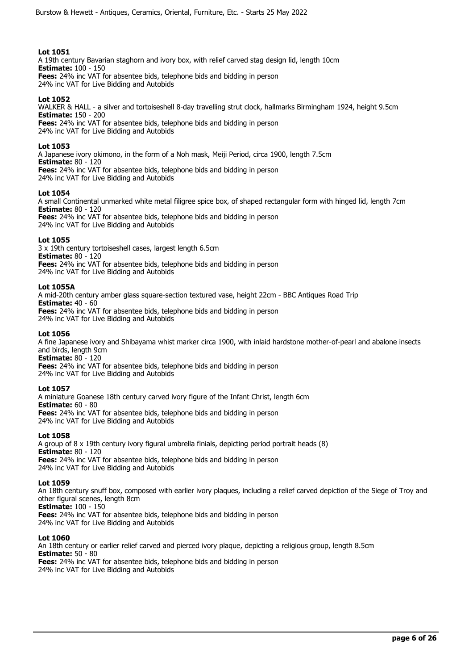A 19th century Bavarian staghorn and ivory box, with relief carved stag design lid, length 10cm **Estimate:** 100 - 150 **Fees:** 24% inc VAT for absentee bids, telephone bids and bidding in person 24% inc VAT for Live Bidding and Autobids

## **Lot 1052**

WALKER & HALL - a silver and tortoiseshell 8-day travelling strut clock, hallmarks Birmingham 1924, height 9.5cm **Estimate:** 150 - 200 **Fees:** 24% inc VAT for absentee bids, telephone bids and bidding in person

24% inc VAT for Live Bidding and Autobids

## **Lot 1053**

A Japanese ivory okimono, in the form of a Noh mask, Meiji Period, circa 1900, length 7.5cm **Estimate:** 80 - 120 **Fees:** 24% inc VAT for absentee bids, telephone bids and bidding in person 24% inc VAT for Live Bidding and Autobids

## **Lot 1054**

A small Continental unmarked white metal filigree spice box, of shaped rectangular form with hinged lid, length 7cm **Estimate:** 80 - 120

**Fees:** 24% inc VAT for absentee bids, telephone bids and bidding in person 24% inc VAT for Live Bidding and Autobids

## **Lot 1055**

3 x 19th century tortoiseshell cases, largest length 6.5cm **Estimate:** 80 - 120 **Fees:** 24% inc VAT for absentee bids, telephone bids and bidding in person 24% inc VAT for Live Bidding and Autobids

## **Lot 1055A**

A mid-20th century amber glass square-section textured vase, height 22cm - BBC Antiques Road Trip **Estimate:** 40 - 60 **Fees:** 24% inc VAT for absentee bids, telephone bids and bidding in person 24% inc VAT for Live Bidding and Autobids

**Lot 1056** 

A fine Japanese ivory and Shibayama whist marker circa 1900, with inlaid hardstone mother-of-pearl and abalone insects and birds, length 9cm **Estimate:** 80 - 120

**Fees:** 24% inc VAT for absentee bids, telephone bids and bidding in person 24% inc VAT for Live Bidding and Autobids

## **Lot 1057**

A miniature Goanese 18th century carved ivory figure of the Infant Christ, length 6cm **Estimate:** 60 - 80 **Fees:** 24% inc VAT for absentee bids, telephone bids and bidding in person 24% inc VAT for Live Bidding and Autobids

## **Lot 1058**

A group of 8 x 19th century ivory figural umbrella finials, depicting period portrait heads (8) **Estimate:** 80 - 120 **Fees:** 24% inc VAT for absentee bids, telephone bids and bidding in person 24% inc VAT for Live Bidding and Autobids

## **Lot 1059**

An 18th century snuff box, composed with earlier ivory plaques, including a relief carved depiction of the Siege of Troy and other figural scenes, length 8cm **Estimate:** 100 - 150 **Fees:** 24% inc VAT for absentee bids, telephone bids and bidding in person

24% inc VAT for Live Bidding and Autobids

# **Lot 1060**

An 18th century or earlier relief carved and pierced ivory plaque, depicting a religious group, length 8.5cm **Estimate:** 50 - 80 **Fees:** 24% inc VAT for absentee bids, telephone bids and bidding in person 24% inc VAT for Live Bidding and Autobids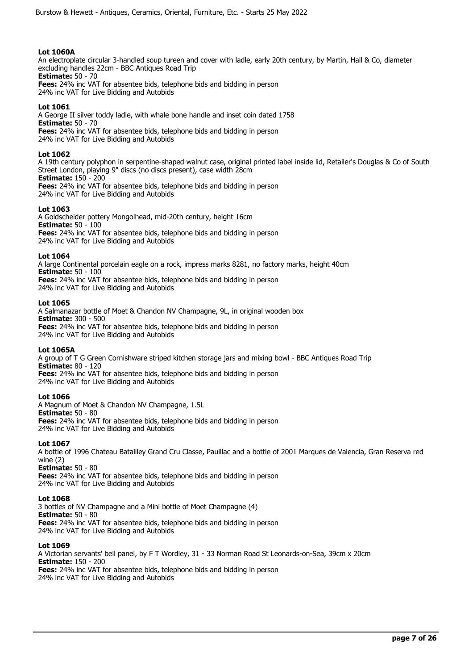## **Lot 1060A**

An electroplate circular 3-handled soup tureen and cover with ladle, early 20th century, by Martin, Hall & Co, diameter excluding handles 22cm - BBC Antiques Road Trip **Estimate:** 50 - 70

**Fees:** 24% inc VAT for absentee bids, telephone bids and bidding in person 24% inc VAT for Live Bidding and Autobids

# **Lot 1061**

A George II silver toddy ladle, with whale bone handle and inset coin dated 1758 **Estimate:** 50 - 70 **Fees:** 24% inc VAT for absentee bids, telephone bids and bidding in person 24% inc VAT for Live Bidding and Autobids

## **Lot 1062**

A 19th century polyphon in serpentine-shaped walnut case, original printed label inside lid, Retailer's Douglas & Co of South Street London, playing 9" discs (no discs present), case width 28cm **Estimate:** 150 - 200

**Fees:** 24% inc VAT for absentee bids, telephone bids and bidding in person 24% inc VAT for Live Bidding and Autobids

## **Lot 1063**

A Goldscheider pottery Mongolhead, mid-20th century, height 16cm **Estimate:** 50 - 100 **Fees:** 24% inc VAT for absentee bids, telephone bids and bidding in person 24% inc VAT for Live Bidding and Autobids

## **Lot 1064**

A large Continental porcelain eagle on a rock, impress marks 8281, no factory marks, height 40cm **Estimate:** 50 - 100 **Fees:** 24% inc VAT for absentee bids, telephone bids and bidding in person 24% inc VAT for Live Bidding and Autobids

## **Lot 1065**

A Salmanazar bottle of Moet & Chandon NV Champagne, 9L, in original wooden box **Estimate:** 300 - 500 **Fees:** 24% inc VAT for absentee bids, telephone bids and bidding in person 24% inc VAT for Live Bidding and Autobids

## **Lot 1065A**

A group of T G Green Cornishware striped kitchen storage jars and mixing bowl - BBC Antiques Road Trip **Estimate:** 80 - 120 **Fees:** 24% inc VAT for absentee bids, telephone bids and bidding in person 24% inc VAT for Live Bidding and Autobids

## **Lot 1066**

A Magnum of Moet & Chandon NV Champagne, 1.5L **Estimate:** 50 - 80 **Fees:** 24% inc VAT for absentee bids, telephone bids and bidding in person 24% inc VAT for Live Bidding and Autobids

# **Lot 1067**

A bottle of 1996 Chateau Batailley Grand Cru Classe, Pauillac and a bottle of 2001 Marques de Valencia, Gran Reserva red wine (2)

**Estimate:** 50 - 80

**Fees:** 24% inc VAT for absentee bids, telephone bids and bidding in person 24% inc VAT for Live Bidding and Autobids

## **Lot 1068**

3 bottles of NV Champagne and a Mini bottle of Moet Champagne (4) **Estimate:** 50 - 80 **Fees:** 24% inc VAT for absentee bids, telephone bids and bidding in person 24% inc VAT for Live Bidding and Autobids

## **Lot 1069**

A Victorian servants' bell panel, by F T Wordley, 31 - 33 Norman Road St Leonards-on-Sea, 39cm x 20cm **Estimate:** 150 - 200 **Fees:** 24% inc VAT for absentee bids, telephone bids and bidding in person 24% inc VAT for Live Bidding and Autobids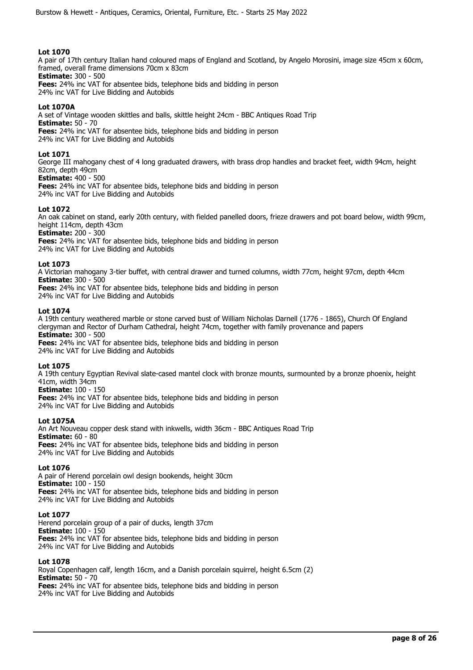A pair of 17th century Italian hand coloured maps of England and Scotland, by Angelo Morosini, image size 45cm x 60cm, framed, overall frame dimensions 70cm x 83cm **Estimate:** 300 - 500

**Fees:** 24% inc VAT for absentee bids, telephone bids and bidding in person 24% inc VAT for Live Bidding and Autobids

# **Lot 1070A**

A set of Vintage wooden skittles and balls, skittle height 24cm - BBC Antiques Road Trip **Estimate:** 50 - 70 **Fees:** 24% inc VAT for absentee bids, telephone bids and bidding in person 24% inc VAT for Live Bidding and Autobids

## **Lot 1071**

George III mahogany chest of 4 long graduated drawers, with brass drop handles and bracket feet, width 94cm, height 82cm, depth 49cm **Estimate:** 400 - 500

**Fees:** 24% inc VAT for absentee bids, telephone bids and bidding in person 24% inc VAT for Live Bidding and Autobids

## **Lot 1072**

An oak cabinet on stand, early 20th century, with fielded panelled doors, frieze drawers and pot board below, width 99cm, height 114cm, depth 43cm

**Estimate:** 200 - 300 **Fees:** 24% inc VAT for absentee bids, telephone bids and bidding in person

24% inc VAT for Live Bidding and Autobids

## **Lot 1073**

A Victorian mahogany 3-tier buffet, with central drawer and turned columns, width 77cm, height 97cm, depth 44cm **Estimate:** 300 - 500

**Fees:** 24% inc VAT for absentee bids, telephone bids and bidding in person 24% inc VAT for Live Bidding and Autobids

## **Lot 1074**

A 19th century weathered marble or stone carved bust of William Nicholas Darnell (1776 - 1865), Church Of England clergyman and Rector of Durham Cathedral, height 74cm, together with family provenance and papers **Estimate:** 300 - 500 **Fees:** 24% inc VAT for absentee bids, telephone bids and bidding in person

24% inc VAT for Live Bidding and Autobids

## **Lot 1075**

A 19th century Egyptian Revival slate-cased mantel clock with bronze mounts, surmounted by a bronze phoenix, height 41cm, width 34cm

## **Estimate:** 100 - 150

**Fees:** 24% inc VAT for absentee bids, telephone bids and bidding in person 24% inc VAT for Live Bidding and Autobids

## **Lot 1075A**

An Art Nouveau copper desk stand with inkwells, width 36cm - BBC Antiques Road Trip **Estimate:** 60 - 80 **Fees:** 24% inc VAT for absentee bids, telephone bids and bidding in person 24% inc VAT for Live Bidding and Autobids

## **Lot 1076**

A pair of Herend porcelain owl design bookends, height 30cm **Estimate:** 100 - 150 **Fees:** 24% inc VAT for absentee bids, telephone bids and bidding in person 24% inc VAT for Live Bidding and Autobids

## **Lot 1077**

Herend porcelain group of a pair of ducks, length 37cm **Estimate:** 100 - 150 **Fees:** 24% inc VAT for absentee bids, telephone bids and bidding in person 24% inc VAT for Live Bidding and Autobids

## **Lot 1078**

Royal Copenhagen calf, length 16cm, and a Danish porcelain squirrel, height 6.5cm (2) **Estimate:** 50 - 70 **Fees:** 24% inc VAT for absentee bids, telephone bids and bidding in person 24% inc VAT for Live Bidding and Autobids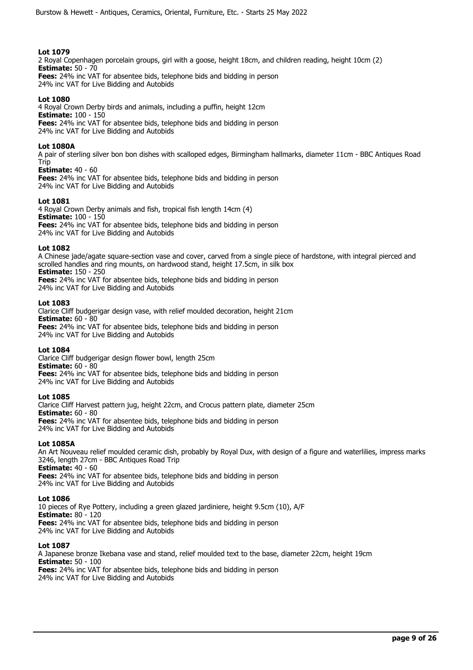2 Royal Copenhagen porcelain groups, girl with a goose, height 18cm, and children reading, height 10cm (2) **Estimate:** 50 - 70

**Fees:** 24% inc VAT for absentee bids, telephone bids and bidding in person 24% inc VAT for Live Bidding and Autobids

# **Lot 1080**

4 Royal Crown Derby birds and animals, including a puffin, height 12cm **Estimate:** 100 - 150 **Fees:** 24% inc VAT for absentee bids, telephone bids and bidding in person 24% inc VAT for Live Bidding and Autobids

## **Lot 1080A**

A pair of sterling silver bon bon dishes with scalloped edges, Birmingham hallmarks, diameter 11cm - BBC Antiques Road Trip

## **Estimate:** 40 - 60

**Fees:** 24% inc VAT for absentee bids, telephone bids and bidding in person 24% inc VAT for Live Bidding and Autobids

## **Lot 1081**

4 Royal Crown Derby animals and fish, tropical fish length 14cm (4) **Estimate:** 100 - 150 **Fees:** 24% inc VAT for absentee bids, telephone bids and bidding in person 24% inc VAT for Live Bidding and Autobids

## **Lot 1082**

A Chinese jade/agate square-section vase and cover, carved from a single piece of hardstone, with integral pierced and scrolled handles and ring mounts, on hardwood stand, height 17.5cm, in silk box **Estimate:** 150 - 250

**Fees:** 24% inc VAT for absentee bids, telephone bids and bidding in person

24% inc VAT for Live Bidding and Autobids

## **Lot 1083**

Clarice Cliff budgerigar design vase, with relief moulded decoration, height 21cm **Estimate:** 60 - 80 **Fees:** 24% inc VAT for absentee bids, telephone bids and bidding in person 24% inc VAT for Live Bidding and Autobids

## **Lot 1084**

Clarice Cliff budgerigar design flower bowl, length 25cm **Estimate:** 60 - 80 **Fees:** 24% inc VAT for absentee bids, telephone bids and bidding in person 24% inc VAT for Live Bidding and Autobids

# **Lot 1085**

Clarice Cliff Harvest pattern jug, height 22cm, and Crocus pattern plate, diameter 25cm **Estimate:** 60 - 80 **Fees:** 24% inc VAT for absentee bids, telephone bids and bidding in person 24% inc VAT for Live Bidding and Autobids

# **Lot 1085A**

An Art Nouveau relief moulded ceramic dish, probably by Royal Dux, with design of a figure and waterlilies, impress marks 3246, length 27cm - BBC Antiques Road Trip **Estimate:** 40 - 60 **Fees:** 24% inc VAT for absentee bids, telephone bids and bidding in person 24% inc VAT for Live Bidding and Autobids

## **Lot 1086**

10 pieces of Rye Pottery, including a green glazed jardiniere, height 9.5cm (10), A/F **Estimate:** 80 - 120 **Fees:** 24% inc VAT for absentee bids, telephone bids and bidding in person 24% inc VAT for Live Bidding and Autobids

# **Lot 1087**

A Japanese bronze Ikebana vase and stand, relief moulded text to the base, diameter 22cm, height 19cm **Estimate:** 50 - 100 **Fees:** 24% inc VAT for absentee bids, telephone bids and bidding in person 24% inc VAT for Live Bidding and Autobids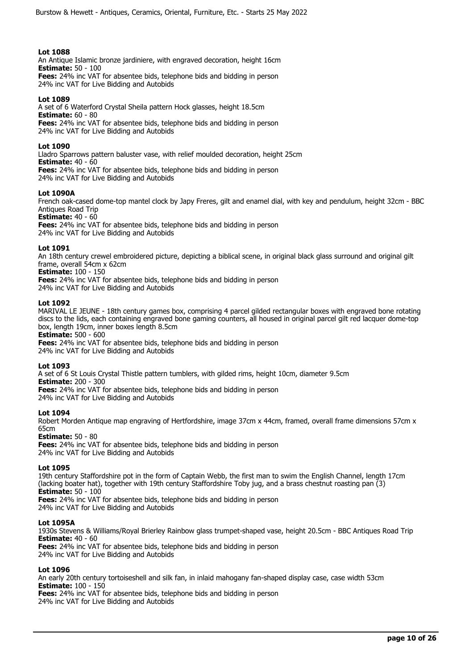An Antique Islamic bronze jardiniere, with engraved decoration, height 16cm **Estimate:** 50 - 100

**Fees:** 24% inc VAT for absentee bids, telephone bids and bidding in person 24% inc VAT for Live Bidding and Autobids

## **Lot 1089**

A set of 6 Waterford Crystal Sheila pattern Hock glasses, height 18.5cm **Estimate:** 60 - 80 **Fees:** 24% inc VAT for absentee bids, telephone bids and bidding in person 24% inc VAT for Live Bidding and Autobids

## **Lot 1090**

Lladro Sparrows pattern baluster vase, with relief moulded decoration, height 25cm **Estimate:** 40 - 60 **Fees:** 24% inc VAT for absentee bids, telephone bids and bidding in person 24% inc VAT for Live Bidding and Autobids

# **Lot 1090A**

French oak-cased dome-top mantel clock by Japy Freres, gilt and enamel dial, with key and pendulum, height 32cm - BBC Antiques Road Trip

**Estimate:** 40 - 60

**Fees:** 24% inc VAT for absentee bids, telephone bids and bidding in person 24% inc VAT for Live Bidding and Autobids

## **Lot 1091**

An 18th century crewel embroidered picture, depicting a biblical scene, in original black glass surround and original gilt frame, overall 54cm x 62cm

**Estimate:** 100 - 150

**Fees:** 24% inc VAT for absentee bids, telephone bids and bidding in person

24% inc VAT for Live Bidding and Autobids

## **Lot 1092**

MARIVAL LE JEUNE - 18th century games box, comprising 4 parcel gilded rectangular boxes with engraved bone rotating discs to the lids, each containing engraved bone gaming counters, all housed in original parcel gilt red lacquer dome-top box, length 19cm, inner boxes length 8.5cm

**Estimate:** 500 - 600

**Fees:** 24% inc VAT for absentee bids, telephone bids and bidding in person 24% inc VAT for Live Bidding and Autobids

## **Lot 1093**

A set of 6 St Louis Crystal Thistle pattern tumblers, with gilded rims, height 10cm, diameter 9.5cm **Estimate:** 200 - 300

**Fees:** 24% inc VAT for absentee bids, telephone bids and bidding in person

24% inc VAT for Live Bidding and Autobids

## **Lot 1094**

Robert Morden Antique map engraving of Hertfordshire, image 37cm x 44cm, framed, overall frame dimensions 57cm x 65cm

**Estimate:** 50 - 80

**Fees:** 24% inc VAT for absentee bids, telephone bids and bidding in person 24% inc VAT for Live Bidding and Autobids

# **Lot 1095**

19th century Staffordshire pot in the form of Captain Webb, the first man to swim the English Channel, length 17cm (lacking boater hat), together with 19th century Staffordshire Toby jug, and a brass chestnut roasting pan (3) **Estimate:** 50 - 100 **Fees:** 24% inc VAT for absentee bids, telephone bids and bidding in person

24% inc VAT for Live Bidding and Autobids

## **Lot 1095A**

1930s Stevens & Williams/Royal Brierley Rainbow glass trumpet-shaped vase, height 20.5cm - BBC Antiques Road Trip **Estimate:** 40 - 60

**Fees:** 24% inc VAT for absentee bids, telephone bids and bidding in person

24% inc VAT for Live Bidding and Autobids

## **Lot 1096**

An early 20th century tortoiseshell and silk fan, in inlaid mahogany fan-shaped display case, case width 53cm **Estimate:** 100 - 150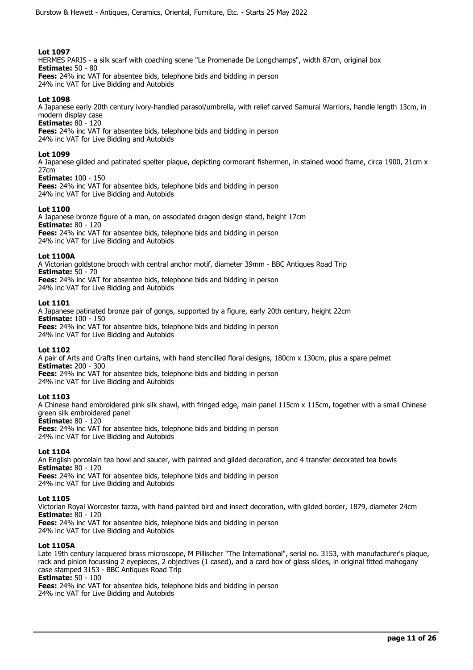HERMES PARIS - a silk scarf with coaching scene "Le Promenade De Longchamps", width 87cm, original box **Estimate:** 50 - 80 **Fees:** 24% inc VAT for absentee bids, telephone bids and bidding in person

24% inc VAT for Live Bidding and Autobids

# **Lot 1098**

A Japanese early 20th century ivory-handled parasol/umbrella, with relief carved Samurai Warriors, handle length 13cm, in modern display case

**Estimate:** 80 - 120

**Fees:** 24% inc VAT for absentee bids, telephone bids and bidding in person 24% inc VAT for Live Bidding and Autobids

## **Lot 1099**

A Japanese gilded and patinated spelter plaque, depicting cormorant fishermen, in stained wood frame, circa 1900, 21cm x 27cm

**Estimate:** 100 - 150

**Fees:** 24% inc VAT for absentee bids, telephone bids and bidding in person 24% inc VAT for Live Bidding and Autobids

## **Lot 1100**

A Japanese bronze figure of a man, on associated dragon design stand, height 17cm **Estimate:** 80 - 120 **Fees:** 24% inc VAT for absentee bids, telephone bids and bidding in person 24% inc VAT for Live Bidding and Autobids

## **Lot 1100A**

A Victorian goldstone brooch with central anchor motif, diameter 39mm - BBC Antiques Road Trip **Estimate:** 50 - 70 **Fees:** 24% inc VAT for absentee bids, telephone bids and bidding in person

24% inc VAT for Live Bidding and Autobids

## **Lot 1101**

A Japanese patinated bronze pair of gongs, supported by a figure, early 20th century, height 22cm **Estimate:** 100 - 150 **Fees:** 24% inc VAT for absentee bids, telephone bids and bidding in person 24% inc VAT for Live Bidding and Autobids

## **Lot 1102**

A pair of Arts and Crafts linen curtains, with hand stencilled floral designs, 180cm x 130cm, plus a spare pelmet **Estimate:** 200 - 300

**Fees:** 24% inc VAT for absentee bids, telephone bids and bidding in person 24% inc VAT for Live Bidding and Autobids

# **Lot 1103**

A Chinese hand embroidered pink silk shawl, with fringed edge, main panel 115cm x 115cm, together with a small Chinese green silk embroidered panel

**Estimate:** 80 - 120

**Fees:** 24% inc VAT for absentee bids, telephone bids and bidding in person 24% inc VAT for Live Bidding and Autobids

# **Lot 1104**

An English porcelain tea bowl and saucer, with painted and gilded decoration, and 4 transfer decorated tea bowls **Estimate:** 80 - 120 **Fees:** 24% inc VAT for absentee bids, telephone bids and bidding in person

24% inc VAT for Live Bidding and Autobids

## **Lot 1105**

Victorian Royal Worcester tazza, with hand painted bird and insect decoration, with gilded border, 1879, diameter 24cm **Estimate:** 80 - 120

**Fees:** 24% inc VAT for absentee bids, telephone bids and bidding in person 24% inc VAT for Live Bidding and Autobids

# **Lot 1105A**

Late 19th century lacquered brass microscope, M Pillischer "The International", serial no. 3153, with manufacturer's plaque, rack and pinion focussing 2 eyepieces, 2 objectives (1 cased), and a card box of glass slides, in original fitted mahogany case stamped 3153 - BBC Antiques Road Trip

# **Estimate:** 50 - 100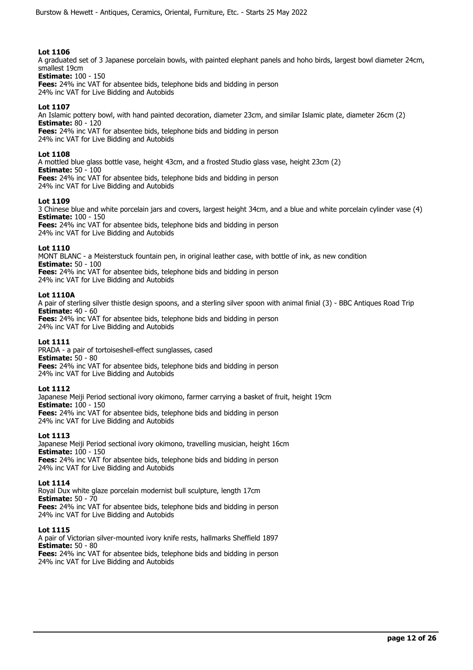A graduated set of 3 Japanese porcelain bowls, with painted elephant panels and hoho birds, largest bowl diameter 24cm, smallest 19cm

**Estimate:** 100 - 150

**Fees:** 24% inc VAT for absentee bids, telephone bids and bidding in person 24% inc VAT for Live Bidding and Autobids

# **Lot 1107**

An Islamic pottery bowl, with hand painted decoration, diameter 23cm, and similar Islamic plate, diameter 26cm (2) **Estimate:** 80 - 120 **Fees:** 24% inc VAT for absentee bids, telephone bids and bidding in person

24% inc VAT for Live Bidding and Autobids

## **Lot 1108**

A mottled blue glass bottle vase, height 43cm, and a frosted Studio glass vase, height 23cm (2) **Estimate:** 50 - 100 **Fees:** 24% inc VAT for absentee bids, telephone bids and bidding in person 24% inc VAT for Live Bidding and Autobids

# **Lot 1109**

3 Chinese blue and white porcelain jars and covers, largest height 34cm, and a blue and white porcelain cylinder vase (4) **Estimate:** 100 - 150 **Fees:** 24% inc VAT for absentee bids, telephone bids and bidding in person 24% inc VAT for Live Bidding and Autobids

# **Lot 1110**

MONT BLANC - a Meisterstuck fountain pen, in original leather case, with bottle of ink, as new condition **Estimate:** 50 - 100 **Fees:** 24% inc VAT for absentee bids, telephone bids and bidding in person 24% inc VAT for Live Bidding and Autobids

## **Lot 1110A**

A pair of sterling silver thistle design spoons, and a sterling silver spoon with animal finial (3) - BBC Antiques Road Trip **Estimate:** 40 - 60 **Fees:** 24% inc VAT for absentee bids, telephone bids and bidding in person

24% inc VAT for Live Bidding and Autobids

# **Lot 1111**

PRADA - a pair of tortoiseshell-effect sunglasses, cased **Estimate:** 50 - 80 **Fees:** 24% inc VAT for absentee bids, telephone bids and bidding in person 24% inc VAT for Live Bidding and Autobids

## **Lot 1112**

Japanese Meiji Period sectional ivory okimono, farmer carrying a basket of fruit, height 19cm **Estimate:** 100 - 150 **Fees:** 24% inc VAT for absentee bids, telephone bids and bidding in person 24% inc VAT for Live Bidding and Autobids

## **Lot 1113**

Japanese Meiji Period sectional ivory okimono, travelling musician, height 16cm **Estimate:** 100 - 150 **Fees:** 24% inc VAT for absentee bids, telephone bids and bidding in person 24% inc VAT for Live Bidding and Autobids

## **Lot 1114**

Royal Dux white glaze porcelain modernist bull sculpture, length 17cm **Estimate:** 50 - 70 **Fees:** 24% inc VAT for absentee bids, telephone bids and bidding in person 24% inc VAT for Live Bidding and Autobids

## **Lot 1115**

A pair of Victorian silver-mounted ivory knife rests, hallmarks Sheffield 1897 **Estimate:** 50 - 80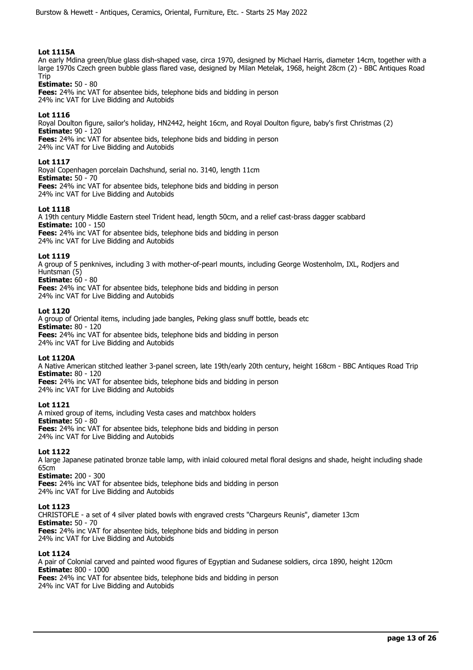# **Lot 1115A**

An early Mdina green/blue glass dish-shaped vase, circa 1970, designed by Michael Harris, diameter 14cm, together with a large 1970s Czech green bubble glass flared vase, designed by Milan Metelak, 1968, height 28cm (2) - BBC Antiques Road **Trin** 

## **Estimate:** 50 - 80

**Fees:** 24% inc VAT for absentee bids, telephone bids and bidding in person 24% inc VAT for Live Bidding and Autobids

# **Lot 1116**

Royal Doulton figure, sailor's holiday, HN2442, height 16cm, and Royal Doulton figure, baby's first Christmas (2) **Estimate:** 90 - 120 **Fees:** 24% inc VAT for absentee bids, telephone bids and bidding in person 24% inc VAT for Live Bidding and Autobids

## **Lot 1117**

Royal Copenhagen porcelain Dachshund, serial no. 3140, length 11cm **Estimate:** 50 - 70 **Fees:** 24% inc VAT for absentee bids, telephone bids and bidding in person 24% inc VAT for Live Bidding and Autobids

## **Lot 1118**

A 19th century Middle Eastern steel Trident head, length 50cm, and a relief cast-brass dagger scabbard **Estimate:** 100 - 150 **Fees:** 24% inc VAT for absentee bids, telephone bids and bidding in person 24% inc VAT for Live Bidding and Autobids

## **Lot 1119**

A group of 5 penknives, including 3 with mother-of-pearl mounts, including George Wostenholm, IXL, Rodjers and Huntsman (5)

**Estimate:** 60 - 80

**Fees:** 24% inc VAT for absentee bids, telephone bids and bidding in person 24% inc VAT for Live Bidding and Autobids

## **Lot 1120**

A group of Oriental items, including jade bangles, Peking glass snuff bottle, beads etc **Estimate:** 80 - 120 **Fees:** 24% inc VAT for absentee bids, telephone bids and bidding in person 24% inc VAT for Live Bidding and Autobids

## **Lot 1120A**

A Native American stitched leather 3-panel screen, late 19th/early 20th century, height 168cm - BBC Antiques Road Trip **Estimate:** 80 - 120 **Fees:** 24% inc VAT for absentee bids, telephone bids and bidding in person

24% inc VAT for Live Bidding and Autobids

## **Lot 1121**

A mixed group of items, including Vesta cases and matchbox holders **Estimate:** 50 - 80 **Fees:** 24% inc VAT for absentee bids, telephone bids and bidding in person 24% inc VAT for Live Bidding and Autobids

## **Lot 1122**

A large Japanese patinated bronze table lamp, with inlaid coloured metal floral designs and shade, height including shade 65cm

**Estimate:** 200 - 300 **Fees:** 24% inc VAT for absentee bids, telephone bids and bidding in person 24% inc VAT for Live Bidding and Autobids

## **Lot 1123**

CHRISTOFLE - a set of 4 silver plated bowls with engraved crests "Chargeurs Reunis", diameter 13cm **Estimate:** 50 - 70 **Fees:** 24% inc VAT for absentee bids, telephone bids and bidding in person 24% inc VAT for Live Bidding and Autobids

## **Lot 1124**

A pair of Colonial carved and painted wood figures of Egyptian and Sudanese soldiers, circa 1890, height 120cm **Estimate:** 800 - 1000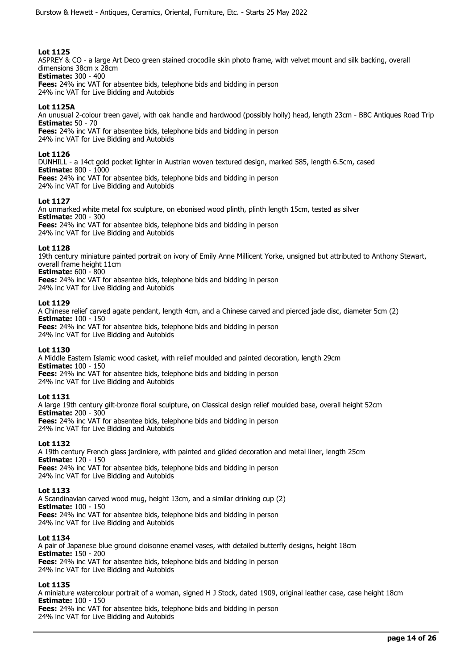ASPREY & CO - a large Art Deco green stained crocodile skin photo frame, with velvet mount and silk backing, overall dimensions 38cm x 28cm

**Estimate:** 300 - 400 **Fees:** 24% inc VAT for absentee bids, telephone bids and bidding in person

24% inc VAT for Live Bidding and Autobids

# **Lot 1125A**

An unusual 2-colour treen gavel, with oak handle and hardwood (possibly holly) head, length 23cm - BBC Antiques Road Trip **Estimate:** 50 - 70

**Fees:** 24% inc VAT for absentee bids, telephone bids and bidding in person 24% inc VAT for Live Bidding and Autobids

## **Lot 1126**

DUNHILL - a 14ct gold pocket lighter in Austrian woven textured design, marked 585, length 6.5cm, cased **Estimate:** 800 - 1000 **Fees:** 24% inc VAT for absentee bids, telephone bids and bidding in person 24% inc VAT for Live Bidding and Autobids

## **Lot 1127**

An unmarked white metal fox sculpture, on ebonised wood plinth, plinth length 15cm, tested as silver **Estimate:** 200 - 300 **Fees:** 24% inc VAT for absentee bids, telephone bids and bidding in person 24% inc VAT for Live Bidding and Autobids

## **Lot 1128**

19th century miniature painted portrait on ivory of Emily Anne Millicent Yorke, unsigned but attributed to Anthony Stewart, overall frame height 11cm

**Estimate:** 600 - 800

**Fees:** 24% inc VAT for absentee bids, telephone bids and bidding in person

24% inc VAT for Live Bidding and Autobids

## **Lot 1129**

A Chinese relief carved agate pendant, length 4cm, and a Chinese carved and pierced jade disc, diameter 5cm (2) **Estimate:** 100 - 150

**Fees:** 24% inc VAT for absentee bids, telephone bids and bidding in person 24% inc VAT for Live Bidding and Autobids

## **Lot 1130**

A Middle Eastern Islamic wood casket, with relief moulded and painted decoration, length 29cm **Estimate:** 100 - 150 **Fees:** 24% inc VAT for absentee bids, telephone bids and bidding in person 24% inc VAT for Live Bidding and Autobids

# **Lot 1131**

A large 19th century gilt-bronze floral sculpture, on Classical design relief moulded base, overall height 52cm **Estimate:** 200 - 300 **Fees:** 24% inc VAT for absentee bids, telephone bids and bidding in person

24% inc VAT for Live Bidding and Autobids

# **Lot 1132**

A 19th century French glass jardiniere, with painted and gilded decoration and metal liner, length 25cm **Estimate:** 120 - 150 **Fees:** 24% inc VAT for absentee bids, telephone bids and bidding in person

24% inc VAT for Live Bidding and Autobids

## **Lot 1133**

A Scandinavian carved wood mug, height 13cm, and a similar drinking cup (2) **Estimate:** 100 - 150 **Fees:** 24% inc VAT for absentee bids, telephone bids and bidding in person 24% inc VAT for Live Bidding and Autobids

## **Lot 1134**

A pair of Japanese blue ground cloisonne enamel vases, with detailed butterfly designs, height 18cm **Estimate:** 150 - 200 **Fees:** 24% inc VAT for absentee bids, telephone bids and bidding in person 24% inc VAT for Live Bidding and Autobids

## **Lot 1135**

A miniature watercolour portrait of a woman, signed H J Stock, dated 1909, original leather case, case height 18cm **Estimate:** 100 - 150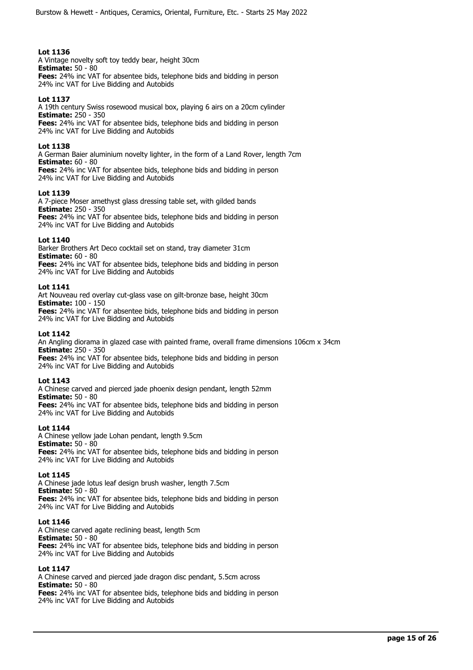A Vintage novelty soft toy teddy bear, height 30cm **Estimate:** 50 - 80 **Fees:** 24% inc VAT for absentee bids, telephone bids and bidding in person 24% inc VAT for Live Bidding and Autobids

# **Lot 1137**

A 19th century Swiss rosewood musical box, playing 6 airs on a 20cm cylinder **Estimate:** 250 - 350 **Fees:** 24% inc VAT for absentee bids, telephone bids and bidding in person 24% inc VAT for Live Bidding and Autobids

## **Lot 1138**

A German Baier aluminium novelty lighter, in the form of a Land Rover, length 7cm **Estimate:** 60 - 80

**Fees:** 24% inc VAT for absentee bids, telephone bids and bidding in person 24% inc VAT for Live Bidding and Autobids

## **Lot 1139**

A 7-piece Moser amethyst glass dressing table set, with gilded bands **Estimate:** 250 - 350 **Fees:** 24% inc VAT for absentee bids, telephone bids and bidding in person 24% inc VAT for Live Bidding and Autobids

## **Lot 1140**

Barker Brothers Art Deco cocktail set on stand, tray diameter 31cm **Estimate:** 60 - 80 **Fees:** 24% inc VAT for absentee bids, telephone bids and bidding in person 24% inc VAT for Live Bidding and Autobids

## **Lot 1141**

Art Nouveau red overlay cut-glass vase on gilt-bronze base, height 30cm **Estimate:** 100 - 150 **Fees:** 24% inc VAT for absentee bids, telephone bids and bidding in person

24% inc VAT for Live Bidding and Autobids

## **Lot 1142**

An Angling diorama in glazed case with painted frame, overall frame dimensions 106cm x 34cm **Estimate:** 250 - 350 **Fees:** 24% inc VAT for absentee bids, telephone bids and bidding in person

24% inc VAT for Live Bidding and Autobids

## **Lot 1143**

A Chinese carved and pierced jade phoenix design pendant, length 52mm **Estimate:** 50 - 80 **Fees:** 24% inc VAT for absentee bids, telephone bids and bidding in person 24% inc VAT for Live Bidding and Autobids

## **Lot 1144**

A Chinese yellow jade Lohan pendant, length 9.5cm **Estimate:** 50 - 80 **Fees:** 24% inc VAT for absentee bids, telephone bids and bidding in person 24% inc VAT for Live Bidding and Autobids

## **Lot 1145**

A Chinese jade lotus leaf design brush washer, length 7.5cm **Estimate:** 50 - 80 **Fees:** 24% inc VAT for absentee bids, telephone bids and bidding in person 24% inc VAT for Live Bidding and Autobids

## **Lot 1146**

A Chinese carved agate reclining beast, length 5cm **Estimate:** 50 - 80 **Fees:** 24% inc VAT for absentee bids, telephone bids and bidding in person 24% inc VAT for Live Bidding and Autobids

## **Lot 1147**

A Chinese carved and pierced jade dragon disc pendant, 5.5cm across **Estimate:** 50 - 80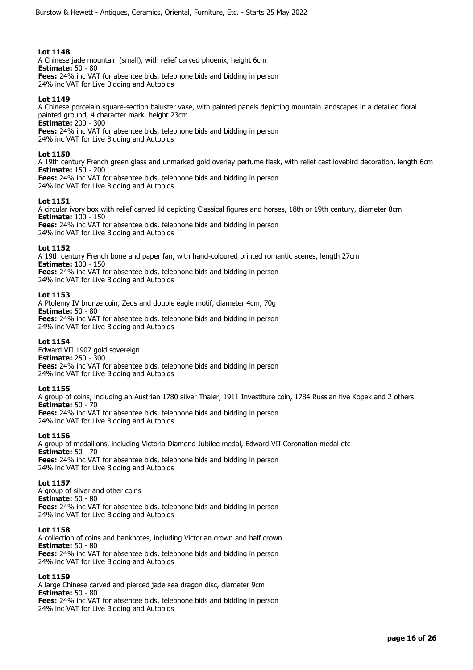A Chinese jade mountain (small), with relief carved phoenix, height 6cm **Estimate:** 50 - 80 **Fees:** 24% inc VAT for absentee bids, telephone bids and bidding in person 24% inc VAT for Live Bidding and Autobids

## **Lot 1149**

A Chinese porcelain square-section baluster vase, with painted panels depicting mountain landscapes in a detailed floral painted ground, 4 character mark, height 23cm **Estimate:** 200 - 300

**Fees:** 24% inc VAT for absentee bids, telephone bids and bidding in person 24% inc VAT for Live Bidding and Autobids

## **Lot 1150**

A 19th century French green glass and unmarked gold overlay perfume flask, with relief cast lovebird decoration, length 6cm **Estimate:** 150 - 200

**Fees:** 24% inc VAT for absentee bids, telephone bids and bidding in person 24% inc VAT for Live Bidding and Autobids

## **Lot 1151**

A circular ivory box with relief carved lid depicting Classical figures and horses, 18th or 19th century, diameter 8cm **Estimate:** 100 - 150 **Fees:** 24% inc VAT for absentee bids, telephone bids and bidding in person 24% inc VAT for Live Bidding and Autobids

## **Lot 1152**

A 19th century French bone and paper fan, with hand-coloured printed romantic scenes, length 27cm **Estimate:** 100 - 150 **Fees:** 24% inc VAT for absentee bids, telephone bids and bidding in person 24% inc VAT for Live Bidding and Autobids

## **Lot 1153**

A Ptolemy IV bronze coin, Zeus and double eagle motif, diameter 4cm, 70g **Estimate:** 50 - 80 **Fees:** 24% inc VAT for absentee bids, telephone bids and bidding in person 24% inc VAT for Live Bidding and Autobids

## **Lot 1154**

Edward VII 1907 gold sovereign **Estimate:** 250 - 300 **Fees:** 24% inc VAT for absentee bids, telephone bids and bidding in person 24% inc VAT for Live Bidding and Autobids

## **Lot 1155**

A group of coins, including an Austrian 1780 silver Thaler, 1911 Investiture coin, 1784 Russian five Kopek and 2 others **Estimate:** 50 - 70 **Fees:** 24% inc VAT for absentee bids, telephone bids and bidding in person

24% inc VAT for Live Bidding and Autobids

## **Lot 1156**

A group of medallions, including Victoria Diamond Jubilee medal, Edward VII Coronation medal etc **Estimate:** 50 - 70 **Fees:** 24% inc VAT for absentee bids, telephone bids and bidding in person 24% inc VAT for Live Bidding and Autobids

## **Lot 1157**

A group of silver and other coins **Estimate:** 50 - 80 **Fees:** 24% inc VAT for absentee bids, telephone bids and bidding in person 24% inc VAT for Live Bidding and Autobids

## **Lot 1158**

A collection of coins and banknotes, including Victorian crown and half crown **Estimate:** 50 - 80 **Fees:** 24% inc VAT for absentee bids, telephone bids and bidding in person 24% inc VAT for Live Bidding and Autobids

## **Lot 1159**

A large Chinese carved and pierced jade sea dragon disc, diameter 9cm **Estimate:** 50 - 80 **Fees:** 24% inc VAT for absentee bids, telephone bids and bidding in person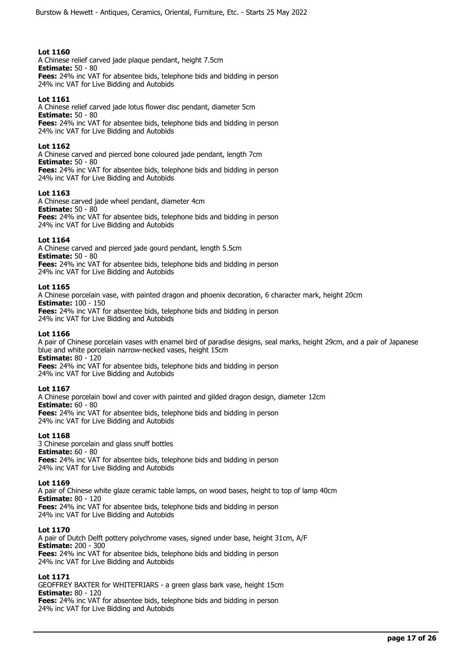A Chinese relief carved jade plaque pendant, height 7.5cm **Estimate:** 50 - 80 **Fees:** 24% inc VAT for absentee bids, telephone bids and bidding in person

24% inc VAT for Live Bidding and Autobids

## **Lot 1161**

A Chinese relief carved jade lotus flower disc pendant, diameter 5cm **Estimate:** 50 - 80 **Fees:** 24% inc VAT for absentee bids, telephone bids and bidding in person 24% inc VAT for Live Bidding and Autobids

## **Lot 1162**

A Chinese carved and pierced bone coloured jade pendant, length 7cm **Estimate:** 50 - 80 **Fees:** 24% inc VAT for absentee bids, telephone bids and bidding in person 24% inc VAT for Live Bidding and Autobids

## **Lot 1163**

A Chinese carved jade wheel pendant, diameter 4cm **Estimate:** 50 - 80

**Fees:** 24% inc VAT for absentee bids, telephone bids and bidding in person 24% inc VAT for Live Bidding and Autobids

## **Lot 1164**

A Chinese carved and pierced jade gourd pendant, length 5.5cm **Estimate:** 50 - 80 **Fees:** 24% inc VAT for absentee bids, telephone bids and bidding in person 24% inc VAT for Live Bidding and Autobids

## **Lot 1165**

A Chinese porcelain vase, with painted dragon and phoenix decoration, 6 character mark, height 20cm **Estimate:** 100 - 150 **Fees:** 24% inc VAT for absentee bids, telephone bids and bidding in person

24% inc VAT for Live Bidding and Autobids

## **Lot 1166**

A pair of Chinese porcelain vases with enamel bird of paradise designs, seal marks, height 29cm, and a pair of Japanese blue and white porcelain narrow-necked vases, height 15cm **Estimate:** 80 - 120

**Fees:** 24% inc VAT for absentee bids, telephone bids and bidding in person 24% inc VAT for Live Bidding and Autobids

## **Lot 1167**

A Chinese porcelain bowl and cover with painted and gilded dragon design, diameter 12cm **Estimate:** 60 - 80 **Fees:** 24% inc VAT for absentee bids, telephone bids and bidding in person 24% inc VAT for Live Bidding and Autobids

## **Lot 1168**

3 Chinese porcelain and glass snuff bottles **Estimate:** 60 - 80 **Fees:** 24% inc VAT for absentee bids, telephone bids and bidding in person 24% inc VAT for Live Bidding and Autobids

## **Lot 1169**

A pair of Chinese white glaze ceramic table lamps, on wood bases, height to top of lamp 40cm **Estimate:** 80 - 120 **Fees:** 24% inc VAT for absentee bids, telephone bids and bidding in person 24% inc VAT for Live Bidding and Autobids

## **Lot 1170**

A pair of Dutch Delft pottery polychrome vases, signed under base, height 31cm, A/F **Estimate:** 200 - 300 **Fees:** 24% inc VAT for absentee bids, telephone bids and bidding in person 24% inc VAT for Live Bidding and Autobids

## **Lot 1171**

GEOFFREY BAXTER for WHITEFRIARS - a green glass bark vase, height 15cm **Estimate:** 80 - 120 **Fees:** 24% inc VAT for absentee bids, telephone bids and bidding in person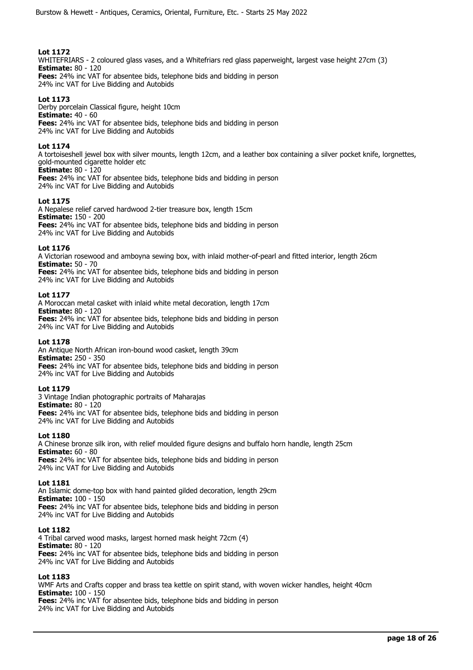WHITEFRIARS - 2 coloured glass vases, and a Whitefriars red glass paperweight, largest vase height 27cm (3) **Estimate:** 80 - 120 **Fees:** 24% inc VAT for absentee bids, telephone bids and bidding in person

24% inc VAT for Live Bidding and Autobids

# **Lot 1173**

Derby porcelain Classical figure, height 10cm **Estimate:** 40 - 60 **Fees:** 24% inc VAT for absentee bids, telephone bids and bidding in person 24% inc VAT for Live Bidding and Autobids

# **Lot 1174**

A tortoiseshell jewel box with silver mounts, length 12cm, and a leather box containing a silver pocket knife, lorgnettes, gold-mounted cigarette holder etc **Estimate:** 80 - 120

**Fees:** 24% inc VAT for absentee bids, telephone bids and bidding in person 24% inc VAT for Live Bidding and Autobids

# **Lot 1175**

A Nepalese relief carved hardwood 2-tier treasure box, length 15cm **Estimate:** 150 - 200 **Fees:** 24% inc VAT for absentee bids, telephone bids and bidding in person 24% inc VAT for Live Bidding and Autobids

# **Lot 1176**

A Victorian rosewood and amboyna sewing box, with inlaid mother-of-pearl and fitted interior, length 26cm **Estimate:** 50 - 70

**Fees:** 24% inc VAT for absentee bids, telephone bids and bidding in person 24% inc VAT for Live Bidding and Autobids

# **Lot 1177**

A Moroccan metal casket with inlaid white metal decoration, length 17cm **Estimate:** 80 - 120 **Fees:** 24% inc VAT for absentee bids, telephone bids and bidding in person 24% inc VAT for Live Bidding and Autobids

# **Lot 1178**

An Antique North African iron-bound wood casket, length 39cm **Estimate:** 250 - 350 **Fees:** 24% inc VAT for absentee bids, telephone bids and bidding in person 24% inc VAT for Live Bidding and Autobids

# **Lot 1179**

3 Vintage Indian photographic portraits of Maharajas **Estimate:** 80 - 120 **Fees:** 24% inc VAT for absentee bids, telephone bids and bidding in person 24% inc VAT for Live Bidding and Autobids

## **Lot 1180**

A Chinese bronze silk iron, with relief moulded figure designs and buffalo horn handle, length 25cm **Estimate:** 60 - 80 **Fees:** 24% inc VAT for absentee bids, telephone bids and bidding in person 24% inc VAT for Live Bidding and Autobids

## **Lot 1181**

An Islamic dome-top box with hand painted gilded decoration, length 29cm **Estimate:** 100 - 150 **Fees:** 24% inc VAT for absentee bids, telephone bids and bidding in person 24% inc VAT for Live Bidding and Autobids

## **Lot 1182**

4 Tribal carved wood masks, largest horned mask height 72cm (4) **Estimate:** 80 - 120 **Fees:** 24% inc VAT for absentee bids, telephone bids and bidding in person 24% inc VAT for Live Bidding and Autobids

# **Lot 1183**

WMF Arts and Crafts copper and brass tea kettle on spirit stand, with woven wicker handles, height 40cm **Estimate:** 100 - 150 **Fees:** 24% inc VAT for absentee bids, telephone bids and bidding in person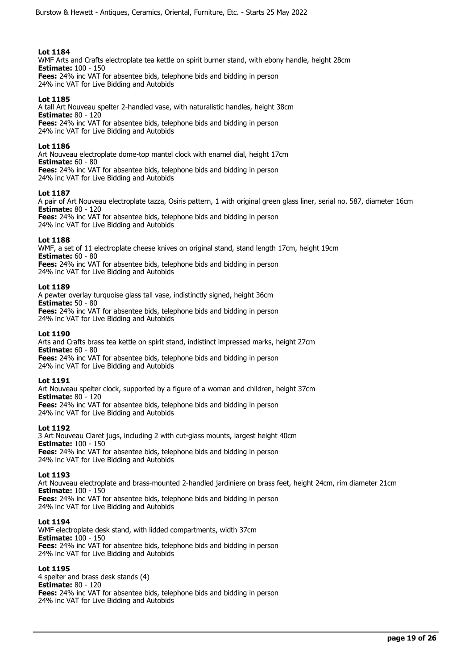WMF Arts and Crafts electroplate tea kettle on spirit burner stand, with ebony handle, height 28cm **Estimate:** 100 - 150 **Fees:** 24% inc VAT for absentee bids, telephone bids and bidding in person

24% inc VAT for Live Bidding and Autobids

# **Lot 1185**

A tall Art Nouveau spelter 2-handled vase, with naturalistic handles, height 38cm **Estimate:** 80 - 120 **Fees:** 24% inc VAT for absentee bids, telephone bids and bidding in person 24% inc VAT for Live Bidding and Autobids

## **Lot 1186**

Art Nouveau electroplate dome-top mantel clock with enamel dial, height 17cm **Estimate:** 60 - 80 **Fees:** 24% inc VAT for absentee bids, telephone bids and bidding in person

24% inc VAT for Live Bidding and Autobids

## **Lot 1187**

A pair of Art Nouveau electroplate tazza, Osiris pattern, 1 with original green glass liner, serial no. 587, diameter 16cm **Estimate:** 80 - 120

**Fees:** 24% inc VAT for absentee bids, telephone bids and bidding in person 24% inc VAT for Live Bidding and Autobids

## **Lot 1188**

WMF, a set of 11 electroplate cheese knives on original stand, stand length 17cm, height 19cm **Estimate:** 60 - 80 **Fees:** 24% inc VAT for absentee bids, telephone bids and bidding in person

24% inc VAT for Live Bidding and Autobids

## **Lot 1189**

A pewter overlay turquoise glass tall vase, indistinctly signed, height 36cm **Estimate:** 50 - 80 **Fees:** 24% inc VAT for absentee bids, telephone bids and bidding in person

24% inc VAT for Live Bidding and Autobids

## **Lot 1190**

Arts and Crafts brass tea kettle on spirit stand, indistinct impressed marks, height 27cm **Estimate:** 60 - 80 **Fees:** 24% inc VAT for absentee bids, telephone bids and bidding in person

24% inc VAT for Live Bidding and Autobids

## **Lot 1191**

Art Nouveau spelter clock, supported by a figure of a woman and children, height 37cm **Estimate:** 80 - 120 **Fees:** 24% inc VAT for absentee bids, telephone bids and bidding in person 24% inc VAT for Live Bidding and Autobids

## **Lot 1192**

3 Art Nouveau Claret jugs, including 2 with cut-glass mounts, largest height 40cm **Estimate:** 100 - 150 **Fees:** 24% inc VAT for absentee bids, telephone bids and bidding in person 24% inc VAT for Live Bidding and Autobids

## **Lot 1193**

Art Nouveau electroplate and brass-mounted 2-handled jardiniere on brass feet, height 24cm, rim diameter 21cm **Estimate:** 100 - 150 **Fees:** 24% inc VAT for absentee bids, telephone bids and bidding in person 24% inc VAT for Live Bidding and Autobids

## **Lot 1194**

WMF electroplate desk stand, with lidded compartments, width 37cm **Estimate:** 100 - 150 **Fees:** 24% inc VAT for absentee bids, telephone bids and bidding in person 24% inc VAT for Live Bidding and Autobids

## **Lot 1195**

4 spelter and brass desk stands (4) **Estimate:** 80 - 120 **Fees:** 24% inc VAT for absentee bids, telephone bids and bidding in person 24% inc VAT for Live Bidding and Autobids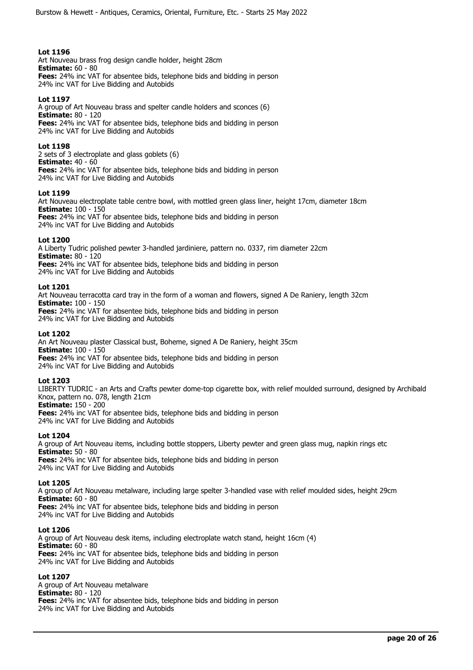Art Nouveau brass frog design candle holder, height 28cm **Estimate:** 60 - 80 **Fees:** 24% inc VAT for absentee bids, telephone bids and bidding in person 24% inc VAT for Live Bidding and Autobids

# **Lot 1197**

A group of Art Nouveau brass and spelter candle holders and sconces (6) **Estimate:** 80 - 120 **Fees:** 24% inc VAT for absentee bids, telephone bids and bidding in person 24% inc VAT for Live Bidding and Autobids

# **Lot 1198**

2 sets of 3 electroplate and glass goblets (6) **Estimate:** 40 - 60 **Fees:** 24% inc VAT for absentee bids, telephone bids and bidding in person 24% inc VAT for Live Bidding and Autobids

## **Lot 1199**

Art Nouveau electroplate table centre bowl, with mottled green glass liner, height 17cm, diameter 18cm **Estimate:** 100 - 150

**Fees:** 24% inc VAT for absentee bids, telephone bids and bidding in person 24% inc VAT for Live Bidding and Autobids

## **Lot 1200**

A Liberty Tudric polished pewter 3-handled jardiniere, pattern no. 0337, rim diameter 22cm **Estimate:** 80 - 120 **Fees:** 24% inc VAT for absentee bids, telephone bids and bidding in person

24% inc VAT for Live Bidding and Autobids

## **Lot 1201**

Art Nouveau terracotta card tray in the form of a woman and flowers, signed A De Raniery, length 32cm **Estimate:** 100 - 150 **Fees:** 24% inc VAT for absentee bids, telephone bids and bidding in person

24% inc VAT for Live Bidding and Autobids

# **Lot 1202**

An Art Nouveau plaster Classical bust, Boheme, signed A De Raniery, height 35cm **Estimate:** 100 - 150 **Fees:** 24% inc VAT for absentee bids, telephone bids and bidding in person 24% inc VAT for Live Bidding and Autobids

## **Lot 1203**

LIBERTY TUDRIC - an Arts and Crafts pewter dome-top cigarette box, with relief moulded surround, designed by Archibald Knox, pattern no. 078, length 21cm

**Estimate:** 150 - 200

**Fees:** 24% inc VAT for absentee bids, telephone bids and bidding in person 24% inc VAT for Live Bidding and Autobids

# **Lot 1204**

A group of Art Nouveau items, including bottle stoppers, Liberty pewter and green glass mug, napkin rings etc **Estimate:** 50 - 80 **Fees:** 24% inc VAT for absentee bids, telephone bids and bidding in person 24% inc VAT for Live Bidding and Autobids

# **Lot 1205**

A group of Art Nouveau metalware, including large spelter 3-handled vase with relief moulded sides, height 29cm **Estimate:** 60 - 80 **Fees:** 24% inc VAT for absentee bids, telephone bids and bidding in person 24% inc VAT for Live Bidding and Autobids

## **Lot 1206**

A group of Art Nouveau desk items, including electroplate watch stand, height 16cm (4) **Estimate:** 60 - 80 **Fees:** 24% inc VAT for absentee bids, telephone bids and bidding in person 24% inc VAT for Live Bidding and Autobids

# **Lot 1207**

A group of Art Nouveau metalware **Estimate:** 80 - 120 **Fees:** 24% inc VAT for absentee bids, telephone bids and bidding in person 24% inc VAT for Live Bidding and Autobids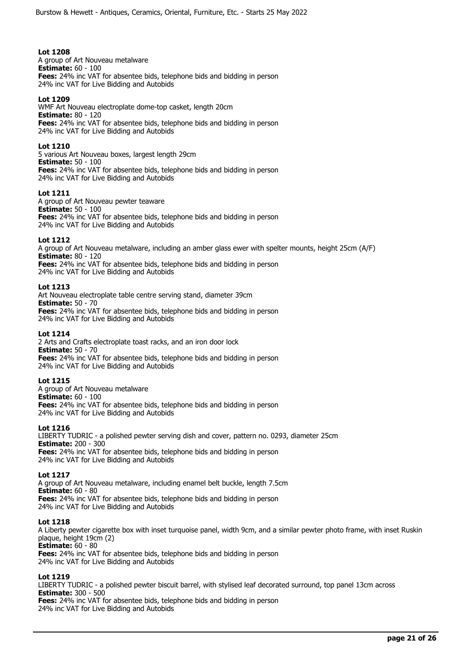A group of Art Nouveau metalware **Estimate:** 60 - 100 **Fees:** 24% inc VAT for absentee bids, telephone bids and bidding in person 24% inc VAT for Live Bidding and Autobids

# **Lot 1209**

WMF Art Nouveau electroplate dome-top casket, length 20cm **Estimate:** 80 - 120 **Fees:** 24% inc VAT for absentee bids, telephone bids and bidding in person 24% inc VAT for Live Bidding and Autobids

## **Lot 1210**

5 various Art Nouveau boxes, largest length 29cm **Estimate:** 50 - 100 **Fees:** 24% inc VAT for absentee bids, telephone bids and bidding in person 24% inc VAT for Live Bidding and Autobids

## **Lot 1211**

A group of Art Nouveau pewter teaware **Estimate:** 50 - 100 **Fees:** 24% inc VAT for absentee bids, telephone bids and bidding in person 24% inc VAT for Live Bidding and Autobids

## **Lot 1212**

A group of Art Nouveau metalware, including an amber glass ewer with spelter mounts, height 25cm (A/F) **Estimate:** 80 - 120 **Fees:** 24% inc VAT for absentee bids, telephone bids and bidding in person

24% inc VAT for Live Bidding and Autobids

## **Lot 1213**

Art Nouveau electroplate table centre serving stand, diameter 39cm **Estimate:** 50 - 70 **Fees:** 24% inc VAT for absentee bids, telephone bids and bidding in person 24% inc VAT for Live Bidding and Autobids

## **Lot 1214**

2 Arts and Crafts electroplate toast racks, and an iron door lock **Estimate:** 50 - 70 **Fees:** 24% inc VAT for absentee bids, telephone bids and bidding in person 24% inc VAT for Live Bidding and Autobids

## **Lot 1215**

A group of Art Nouveau metalware **Estimate:** 60 - 100 **Fees:** 24% inc VAT for absentee bids, telephone bids and bidding in person 24% inc VAT for Live Bidding and Autobids

# **Lot 1216**

LIBERTY TUDRIC - a polished pewter serving dish and cover, pattern no. 0293, diameter 25cm **Estimate:** 200 - 300 **Fees:** 24% inc VAT for absentee bids, telephone bids and bidding in person 24% inc VAT for Live Bidding and Autobids

## **Lot 1217**

A group of Art Nouveau metalware, including enamel belt buckle, length 7.5cm **Estimate:** 60 - 80 **Fees:** 24% inc VAT for absentee bids, telephone bids and bidding in person 24% inc VAT for Live Bidding and Autobids

## **Lot 1218**

A Liberty pewter cigarette box with inset turquoise panel, width 9cm, and a similar pewter photo frame, with inset Ruskin plaque, height 19cm (2)

**Estimate:** 60 - 80 **Fees:** 24% inc VAT for absentee bids, telephone bids and bidding in person 24% inc VAT for Live Bidding and Autobids

# **Lot 1219**

LIBERTY TUDRIC - a polished pewter biscuit barrel, with stylised leaf decorated surround, top panel 13cm across **Estimate:** 300 - 500 **Fees:** 24% inc VAT for absentee bids, telephone bids and bidding in person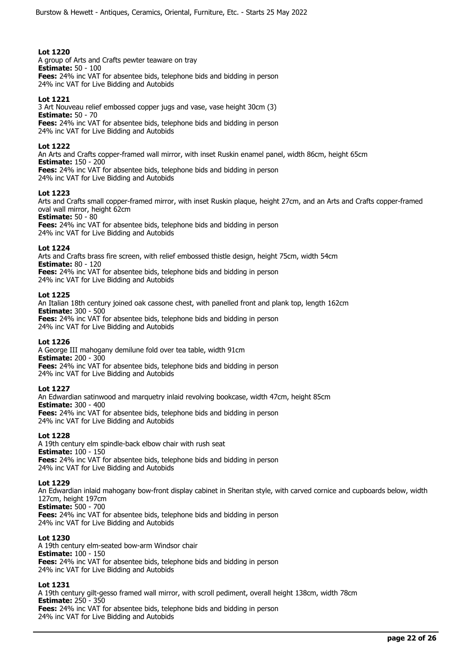A group of Arts and Crafts pewter teaware on tray **Estimate:** 50 - 100 **Fees:** 24% inc VAT for absentee bids, telephone bids and bidding in person 24% inc VAT for Live Bidding and Autobids

# **Lot 1221**

3 Art Nouveau relief embossed copper jugs and vase, vase height 30cm (3) **Estimate:** 50 - 70 **Fees:** 24% inc VAT for absentee bids, telephone bids and bidding in person 24% inc VAT for Live Bidding and Autobids

# **Lot 1222**

An Arts and Crafts copper-framed wall mirror, with inset Ruskin enamel panel, width 86cm, height 65cm **Estimate:** 150 - 200 **Fees:** 24% inc VAT for absentee bids, telephone bids and bidding in person

24% inc VAT for Live Bidding and Autobids

# **Lot 1223**

Arts and Crafts small copper-framed mirror, with inset Ruskin plaque, height 27cm, and an Arts and Crafts copper-framed oval wall mirror, height 62cm

**Estimate:** 50 - 80 **Fees:** 24% inc VAT for absentee bids, telephone bids and bidding in person 24% inc VAT for Live Bidding and Autobids

# **Lot 1224**

Arts and Crafts brass fire screen, with relief embossed thistle design, height 75cm, width 54cm **Estimate:** 80 - 120 **Fees:** 24% inc VAT for absentee bids, telephone bids and bidding in person 24% inc VAT for Live Bidding and Autobids

## **Lot 1225**

An Italian 18th century joined oak cassone chest, with panelled front and plank top, length 162cm **Estimate:** 300 - 500 **Fees:** 24% inc VAT for absentee bids, telephone bids and bidding in person 24% inc VAT for Live Bidding and Autobids

# **Lot 1226**

A George III mahogany demilune fold over tea table, width 91cm **Estimate:** 200 - 300 **Fees:** 24% inc VAT for absentee bids, telephone bids and bidding in person 24% inc VAT for Live Bidding and Autobids

## **Lot 1227**

An Edwardian satinwood and marquetry inlaid revolving bookcase, width 47cm, height 85cm **Estimate:** 300 - 400 **Fees:** 24% inc VAT for absentee bids, telephone bids and bidding in person 24% inc VAT for Live Bidding and Autobids

## **Lot 1228**

A 19th century elm spindle-back elbow chair with rush seat **Estimate:** 100 - 150 **Fees:** 24% inc VAT for absentee bids, telephone bids and bidding in person 24% inc VAT for Live Bidding and Autobids

## **Lot 1229**

An Edwardian inlaid mahogany bow-front display cabinet in Sheritan style, with carved cornice and cupboards below, width 127cm, height 197cm **Estimate:** 500 - 700 **Fees:** 24% inc VAT for absentee bids, telephone bids and bidding in person 24% inc VAT for Live Bidding and Autobids

# **Lot 1230**

A 19th century elm-seated bow-arm Windsor chair **Estimate:** 100 - 150 **Fees:** 24% inc VAT for absentee bids, telephone bids and bidding in person 24% inc VAT for Live Bidding and Autobids

# **Lot 1231**

A 19th century gilt-gesso framed wall mirror, with scroll pediment, overall height 138cm, width 78cm **Estimate:** 250 - 350 **Fees:** 24% inc VAT for absentee bids, telephone bids and bidding in person 24% inc VAT for Live Bidding and Autobids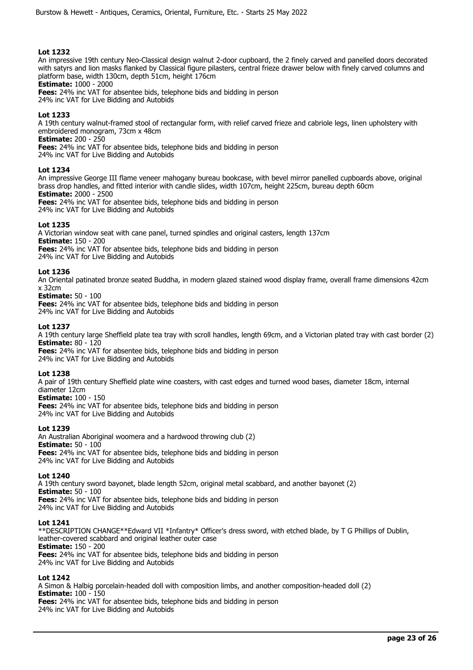An impressive 19th century Neo-Classical design walnut 2-door cupboard, the 2 finely carved and panelled doors decorated with satyrs and lion masks flanked by Classical figure pilasters, central frieze drawer below with finely carved columns and platform base, width 130cm, depth 51cm, height 176cm

**Estimate:** 1000 - 2000

**Fees:** 24% inc VAT for absentee bids, telephone bids and bidding in person 24% inc VAT for Live Bidding and Autobids

# **Lot 1233**

A 19th century walnut-framed stool of rectangular form, with relief carved frieze and cabriole legs, linen upholstery with embroidered monogram, 73cm x 48cm

**Estimate:** 200 - 250

**Fees:** 24% inc VAT for absentee bids, telephone bids and bidding in person 24% inc VAT for Live Bidding and Autobids

## **Lot 1234**

An impressive George III flame veneer mahogany bureau bookcase, with bevel mirror panelled cupboards above, original brass drop handles, and fitted interior with candle slides, width 107cm, height 225cm, bureau depth 60cm **Estimate:** 2000 - 2500

**Fees:** 24% inc VAT for absentee bids, telephone bids and bidding in person 24% inc VAT for Live Bidding and Autobids

# **Lot 1235**

A Victorian window seat with cane panel, turned spindles and original casters, length 137cm **Estimate:** 150 - 200 **Fees:** 24% inc VAT for absentee bids, telephone bids and bidding in person

24% inc VAT for Live Bidding and Autobids

## **Lot 1236**

An Oriental patinated bronze seated Buddha, in modern glazed stained wood display frame, overall frame dimensions 42cm x 32cm

## **Estimate:** 50 - 100

**Fees:** 24% inc VAT for absentee bids, telephone bids and bidding in person 24% inc VAT for Live Bidding and Autobids

## **Lot 1237**

A 19th century large Sheffield plate tea tray with scroll handles, length 69cm, and a Victorian plated tray with cast border (2) **Estimate:** 80 - 120

**Fees:** 24% inc VAT for absentee bids, telephone bids and bidding in person 24% inc VAT for Live Bidding and Autobids

## **Lot 1238**

A pair of 19th century Sheffield plate wine coasters, with cast edges and turned wood bases, diameter 18cm, internal diameter 12cm

**Estimate:** 100 - 150

**Fees:** 24% inc VAT for absentee bids, telephone bids and bidding in person 24% inc VAT for Live Bidding and Autobids

## **Lot 1239**

An Australian Aboriginal woomera and a hardwood throwing club (2) **Estimate:** 50 - 100 **Fees:** 24% inc VAT for absentee bids, telephone bids and bidding in person 24% inc VAT for Live Bidding and Autobids

## **Lot 1240**

A 19th century sword bayonet, blade length 52cm, original metal scabbard, and another bayonet (2) **Estimate:** 50 - 100 **Fees:** 24% inc VAT for absentee bids, telephone bids and bidding in person 24% inc VAT for Live Bidding and Autobids

## **Lot 1241**

\*\*DESCRIPTION CHANGE\*\*Edward VII \*Infantry\* Officer's dress sword, with etched blade, by T G Phillips of Dublin, leather-covered scabbard and original leather outer case **Estimate:** 150 - 200 **Fees:** 24% inc VAT for absentee bids, telephone bids and bidding in person 24% inc VAT for Live Bidding and Autobids

# **Lot 1242**

A Simon & Halbig porcelain-headed doll with composition limbs, and another composition-headed doll (2) **Estimate:** 100 - 150 **Fees:** 24% inc VAT for absentee bids, telephone bids and bidding in person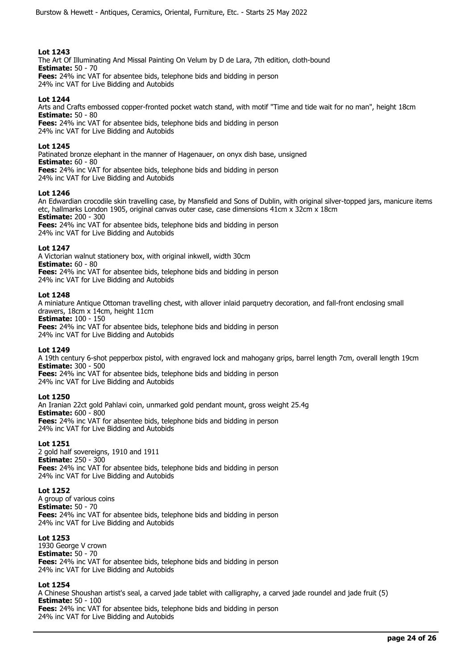The Art Of Illuminating And Missal Painting On Velum by D de Lara, 7th edition, cloth-bound **Estimate:** 50 - 70 **Fees:** 24% inc VAT for absentee bids, telephone bids and bidding in person

24% inc VAT for Live Bidding and Autobids

# **Lot 1244**

Arts and Crafts embossed copper-fronted pocket watch stand, with motif "Time and tide wait for no man", height 18cm **Estimate:** 50 - 80

**Fees:** 24% inc VAT for absentee bids, telephone bids and bidding in person 24% inc VAT for Live Bidding and Autobids

# **Lot 1245**

Patinated bronze elephant in the manner of Hagenauer, on onyx dish base, unsigned **Estimate:** 60 - 80 **Fees:** 24% inc VAT for absentee bids, telephone bids and bidding in person

24% inc VAT for Live Bidding and Autobids

# **Lot 1246**

An Edwardian crocodile skin travelling case, by Mansfield and Sons of Dublin, with original silver-topped jars, manicure items etc, hallmarks London 1905, original canvas outer case, case dimensions 41cm x 32cm x 18cm **Estimate:** 200 - 300

**Fees:** 24% inc VAT for absentee bids, telephone bids and bidding in person 24% inc VAT for Live Bidding and Autobids

# **Lot 1247**

A Victorian walnut stationery box, with original inkwell, width 30cm **Estimate:** 60 - 80 **Fees:** 24% inc VAT for absentee bids, telephone bids and bidding in person

24% inc VAT for Live Bidding and Autobids

# **Lot 1248**

A miniature Antique Ottoman travelling chest, with allover inlaid parquetry decoration, and fall-front enclosing small drawers, 18cm x 14cm, height 11cm

**Estimate:** 100 - 150 **Fees:** 24% inc VAT for absentee bids, telephone bids and bidding in person

24% inc VAT for Live Bidding and Autobids

# **Lot 1249**

A 19th century 6-shot pepperbox pistol, with engraved lock and mahogany grips, barrel length 7cm, overall length 19cm **Estimate:** 300 - 500

**Fees:** 24% inc VAT for absentee bids, telephone bids and bidding in person 24% inc VAT for Live Bidding and Autobids

# **Lot 1250**

An Iranian 22ct gold Pahlavi coin, unmarked gold pendant mount, gross weight 25.4g **Estimate:** 600 - 800 **Fees:** 24% inc VAT for absentee bids, telephone bids and bidding in person 24% inc VAT for Live Bidding and Autobids

# **Lot 1251**

2 gold half sovereigns, 1910 and 1911 **Estimate:** 250 - 300 **Fees:** 24% inc VAT for absentee bids, telephone bids and bidding in person 24% inc VAT for Live Bidding and Autobids

# **Lot 1252**

A group of various coins **Estimate:** 50 - 70 **Fees:** 24% inc VAT for absentee bids, telephone bids and bidding in person 24% inc VAT for Live Bidding and Autobids

# **Lot 1253**

1930 George V crown **Estimate:** 50 - 70 **Fees:** 24% inc VAT for absentee bids, telephone bids and bidding in person 24% inc VAT for Live Bidding and Autobids

# **Lot 1254**

A Chinese Shoushan artist's seal, a carved jade tablet with calligraphy, a carved jade roundel and jade fruit (5) **Estimate:** 50 - 100 **Fees:** 24% inc VAT for absentee bids, telephone bids and bidding in person 24% inc VAT for Live Bidding and Autobids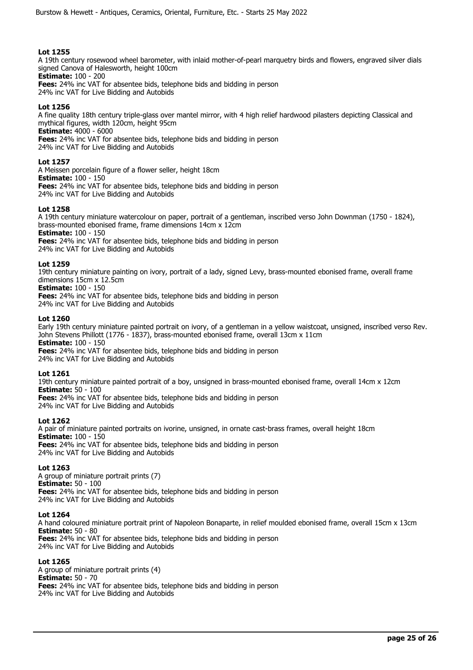A 19th century rosewood wheel barometer, with inlaid mother-of-pearl marquetry birds and flowers, engraved silver dials signed Canova of Halesworth, height 100cm

**Estimate:** 100 - 200 **Fees:** 24% inc VAT for absentee bids, telephone bids and bidding in person

24% inc VAT for Live Bidding and Autobids

# **Lot 1256**

A fine quality 18th century triple-glass over mantel mirror, with 4 high relief hardwood pilasters depicting Classical and mythical figures, width 120cm, height 95cm **Estimate:** 4000 - 6000

**Fees:** 24% inc VAT for absentee bids, telephone bids and bidding in person

24% inc VAT for Live Bidding and Autobids

# **Lot 1257**

A Meissen porcelain figure of a flower seller, height 18cm **Estimate:** 100 - 150 **Fees:** 24% inc VAT for absentee bids, telephone bids and bidding in person 24% inc VAT for Live Bidding and Autobids

# **Lot 1258**

A 19th century miniature watercolour on paper, portrait of a gentleman, inscribed verso John Downman (1750 - 1824), brass-mounted ebonised frame, frame dimensions 14cm x 12cm **Estimate:** 100 - 150

**Fees:** 24% inc VAT for absentee bids, telephone bids and bidding in person 24% inc VAT for Live Bidding and Autobids

## **Lot 1259**

19th century miniature painting on ivory, portrait of a lady, signed Levy, brass-mounted ebonised frame, overall frame dimensions 15cm x 12.5cm

**Estimate:** 100 - 150

**Fees:** 24% inc VAT for absentee bids, telephone bids and bidding in person 24% inc VAT for Live Bidding and Autobids

## **Lot 1260**

Early 19th century miniature painted portrait on ivory, of a gentleman in a yellow waistcoat, unsigned, inscribed verso Rev. John Stevens Phillott (1776 - 1837), brass-mounted ebonised frame, overall 13cm x 11cm **Estimate:** 100 - 150

**Fees:** 24% inc VAT for absentee bids, telephone bids and bidding in person 24% inc VAT for Live Bidding and Autobids

# **Lot 1261**

19th century miniature painted portrait of a boy, unsigned in brass-mounted ebonised frame, overall 14cm x 12cm **Estimate:** 50 - 100

**Fees:** 24% inc VAT for absentee bids, telephone bids and bidding in person 24% inc VAT for Live Bidding and Autobids

# **Lot 1262**

A pair of miniature painted portraits on ivorine, unsigned, in ornate cast-brass frames, overall height 18cm **Estimate:** 100 - 150 **Fees:** 24% inc VAT for absentee bids, telephone bids and bidding in person 24% inc VAT for Live Bidding and Autobids

# **Lot 1263**

A group of miniature portrait prints (7) **Estimate:** 50 - 100 **Fees:** 24% inc VAT for absentee bids, telephone bids and bidding in person 24% inc VAT for Live Bidding and Autobids

## **Lot 1264**

A hand coloured miniature portrait print of Napoleon Bonaparte, in relief moulded ebonised frame, overall 15cm x 13cm **Estimate:** 50 - 80 **Fees:** 24% inc VAT for absentee bids, telephone bids and bidding in person 24% inc VAT for Live Bidding and Autobids

# **Lot 1265**

A group of miniature portrait prints (4) **Estimate:** 50 - 70 **Fees:** 24% inc VAT for absentee bids, telephone bids and bidding in person 24% inc VAT for Live Bidding and Autobids